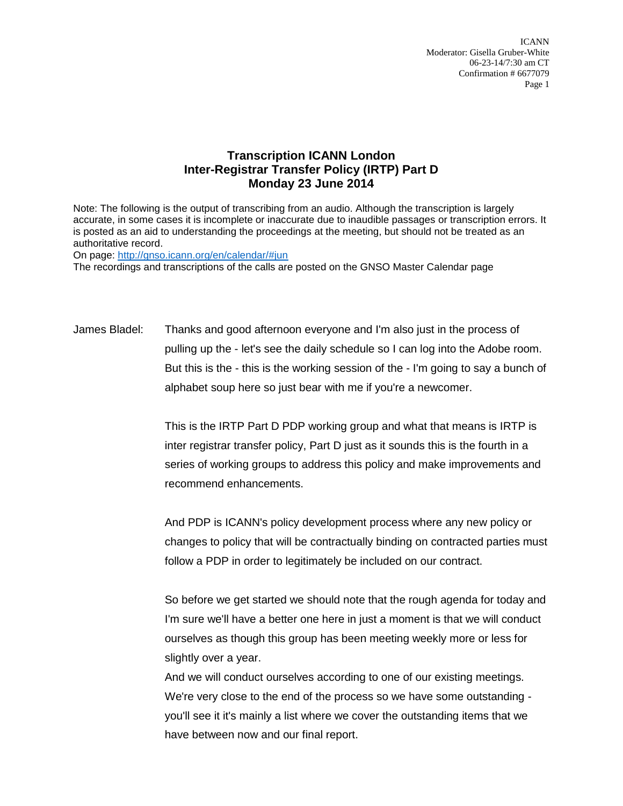ICANN Moderator: Gisella Gruber-White 06-23-14/7:30 am CT Confirmation # 6677079 Page 1

## **Transcription ICANN London Inter-Registrar Transfer Policy (IRTP) Part D Monday 23 June 2014**

Note: The following is the output of transcribing from an audio. Although the transcription is largely accurate, in some cases it is incomplete or inaccurate due to inaudible passages or transcription errors. It is posted as an aid to understanding the proceedings at the meeting, but should not be treated as an authoritative record.

On page:<http://gnso.icann.org/en/calendar/#jun> The recordings and transcriptions of the calls are posted on the GNSO Master Calendar page

James Bladel: Thanks and good afternoon everyone and I'm also just in the process of pulling up the - let's see the daily schedule so I can log into the Adobe room. But this is the - this is the working session of the - I'm going to say a bunch of alphabet soup here so just bear with me if you're a newcomer.

> This is the IRTP Part D PDP working group and what that means is IRTP is inter registrar transfer policy, Part D just as it sounds this is the fourth in a series of working groups to address this policy and make improvements and recommend enhancements.

And PDP is ICANN's policy development process where any new policy or changes to policy that will be contractually binding on contracted parties must follow a PDP in order to legitimately be included on our contract.

So before we get started we should note that the rough agenda for today and I'm sure we'll have a better one here in just a moment is that we will conduct ourselves as though this group has been meeting weekly more or less for slightly over a year.

And we will conduct ourselves according to one of our existing meetings. We're very close to the end of the process so we have some outstanding you'll see it it's mainly a list where we cover the outstanding items that we have between now and our final report.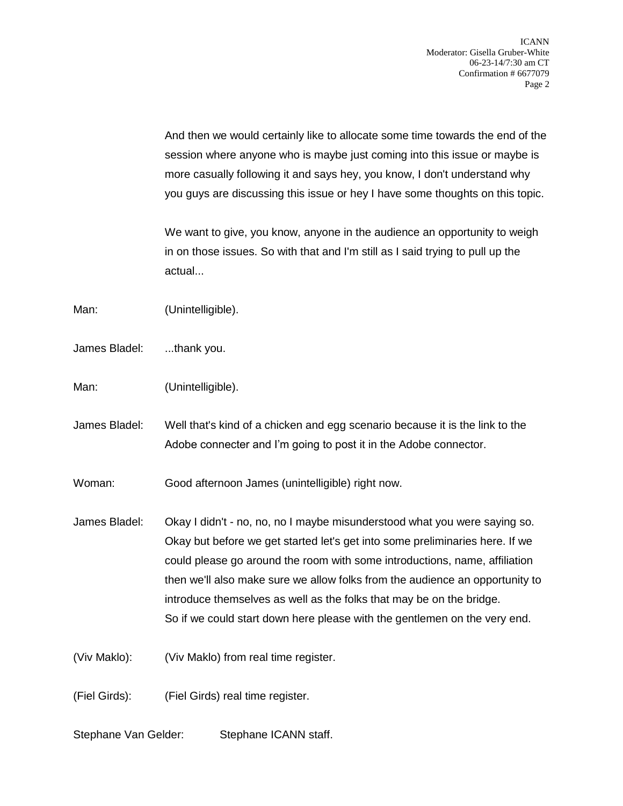And then we would certainly like to allocate some time towards the end of the session where anyone who is maybe just coming into this issue or maybe is more casually following it and says hey, you know, I don't understand why you guys are discussing this issue or hey I have some thoughts on this topic.

We want to give, you know, anyone in the audience an opportunity to weigh in on those issues. So with that and I'm still as I said trying to pull up the actual...

Man: (Unintelligible).

James Bladel: ...thank you.

Man: (Unintelligible).

James Bladel: Well that's kind of a chicken and egg scenario because it is the link to the Adobe connecter and I'm going to post it in the Adobe connector.

Woman: Good afternoon James (unintelligible) right now.

James Bladel: Okay I didn't - no, no, no I maybe misunderstood what you were saying so. Okay but before we get started let's get into some preliminaries here. If we could please go around the room with some introductions, name, affiliation then we'll also make sure we allow folks from the audience an opportunity to introduce themselves as well as the folks that may be on the bridge. So if we could start down here please with the gentlemen on the very end.

(Viv Maklo): (Viv Maklo) from real time register.

(Fiel Girds): (Fiel Girds) real time register.

Stephane Van Gelder: Stephane ICANN staff.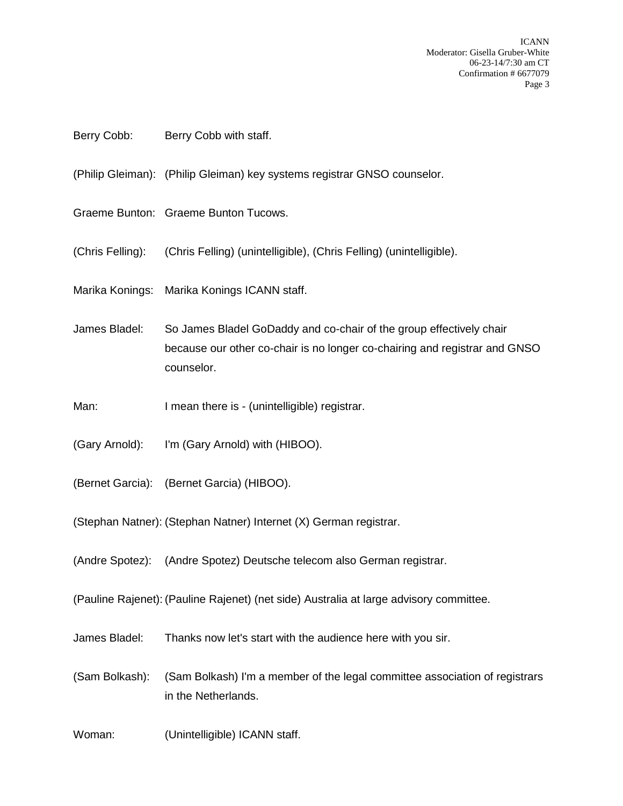ICANN Moderator: Gisella Gruber-White 06-23-14/7:30 am CT Confirmation # 6677079 Page 3

## Berry Cobb: Berry Cobb with staff.

(Philip Gleiman): (Philip Gleiman) key systems registrar GNSO counselor.

Graeme Bunton: Graeme Bunton Tucows.

(Chris Felling): (Chris Felling) (unintelligible), (Chris Felling) (unintelligible).

Marika Konings: Marika Konings ICANN staff.

James Bladel: So James Bladel GoDaddy and co-chair of the group effectively chair because our other co-chair is no longer co-chairing and registrar and GNSO counselor.

- Man: I mean there is (unintelligible) registrar.
- (Gary Arnold): I'm (Gary Arnold) with (HIBOO).
- (Bernet Garcia): (Bernet Garcia) (HIBOO).

(Stephan Natner): (Stephan Natner) Internet (X) German registrar.

(Andre Spotez): (Andre Spotez) Deutsche telecom also German registrar.

(Pauline Rajenet): (Pauline Rajenet) (net side) Australia at large advisory committee.

James Bladel: Thanks now let's start with the audience here with you sir.

(Sam Bolkash): (Sam Bolkash) I'm a member of the legal committee association of registrars in the Netherlands.

Woman: (Unintelligible) ICANN staff.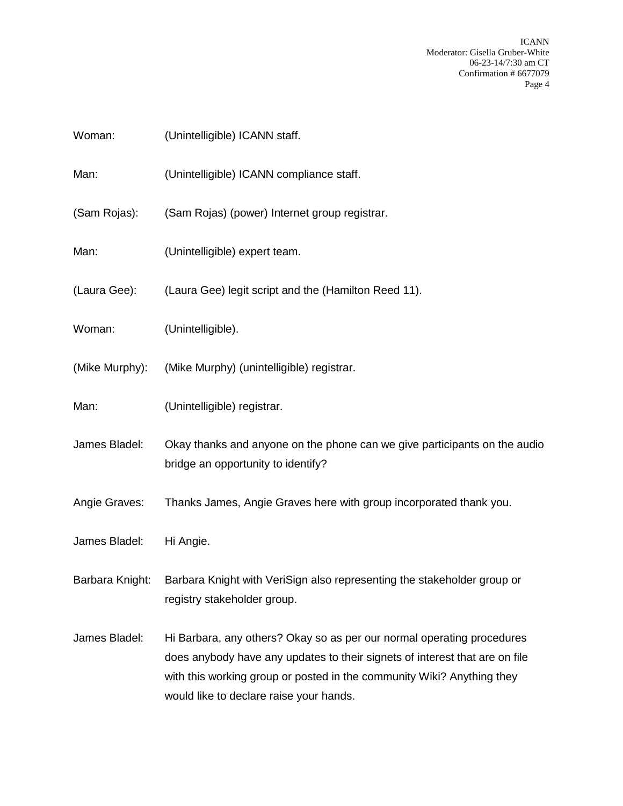ICANN Moderator: Gisella Gruber-White 06-23-14/7:30 am CT Confirmation # 6677079 Page 4

| Woman:          | (Unintelligible) ICANN staff.                                                                                                                                                                                                                                              |
|-----------------|----------------------------------------------------------------------------------------------------------------------------------------------------------------------------------------------------------------------------------------------------------------------------|
| Man:            | (Unintelligible) ICANN compliance staff.                                                                                                                                                                                                                                   |
| (Sam Rojas):    | (Sam Rojas) (power) Internet group registrar.                                                                                                                                                                                                                              |
| Man:            | (Unintelligible) expert team.                                                                                                                                                                                                                                              |
| (Laura Gee):    | (Laura Gee) legit script and the (Hamilton Reed 11).                                                                                                                                                                                                                       |
| Woman:          | (Unintelligible).                                                                                                                                                                                                                                                          |
| (Mike Murphy):  | (Mike Murphy) (unintelligible) registrar.                                                                                                                                                                                                                                  |
| Man:            | (Unintelligible) registrar.                                                                                                                                                                                                                                                |
| James Bladel:   | Okay thanks and anyone on the phone can we give participants on the audio<br>bridge an opportunity to identify?                                                                                                                                                            |
| Angie Graves:   | Thanks James, Angie Graves here with group incorporated thank you.                                                                                                                                                                                                         |
| James Bladel:   | Hi Angie.                                                                                                                                                                                                                                                                  |
| Barbara Knight: | Barbara Knight with VeriSign also representing the stakeholder group or<br>registry stakeholder group.                                                                                                                                                                     |
| James Bladel:   | Hi Barbara, any others? Okay so as per our normal operating procedures<br>does anybody have any updates to their signets of interest that are on file<br>with this working group or posted in the community Wiki? Anything they<br>would like to declare raise your hands. |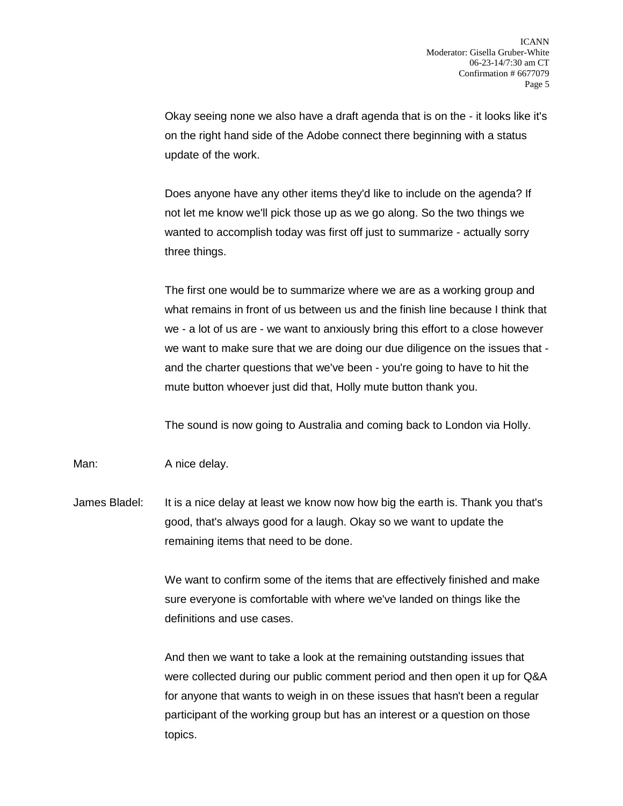Okay seeing none we also have a draft agenda that is on the - it looks like it's on the right hand side of the Adobe connect there beginning with a status update of the work.

Does anyone have any other items they'd like to include on the agenda? If not let me know we'll pick those up as we go along. So the two things we wanted to accomplish today was first off just to summarize - actually sorry three things.

The first one would be to summarize where we are as a working group and what remains in front of us between us and the finish line because I think that we - a lot of us are - we want to anxiously bring this effort to a close however we want to make sure that we are doing our due diligence on the issues that and the charter questions that we've been - you're going to have to hit the mute button whoever just did that, Holly mute button thank you.

The sound is now going to Australia and coming back to London via Holly.

Man: A nice delay.

James Bladel: It is a nice delay at least we know now how big the earth is. Thank you that's good, that's always good for a laugh. Okay so we want to update the remaining items that need to be done.

> We want to confirm some of the items that are effectively finished and make sure everyone is comfortable with where we've landed on things like the definitions and use cases.

And then we want to take a look at the remaining outstanding issues that were collected during our public comment period and then open it up for Q&A for anyone that wants to weigh in on these issues that hasn't been a regular participant of the working group but has an interest or a question on those topics.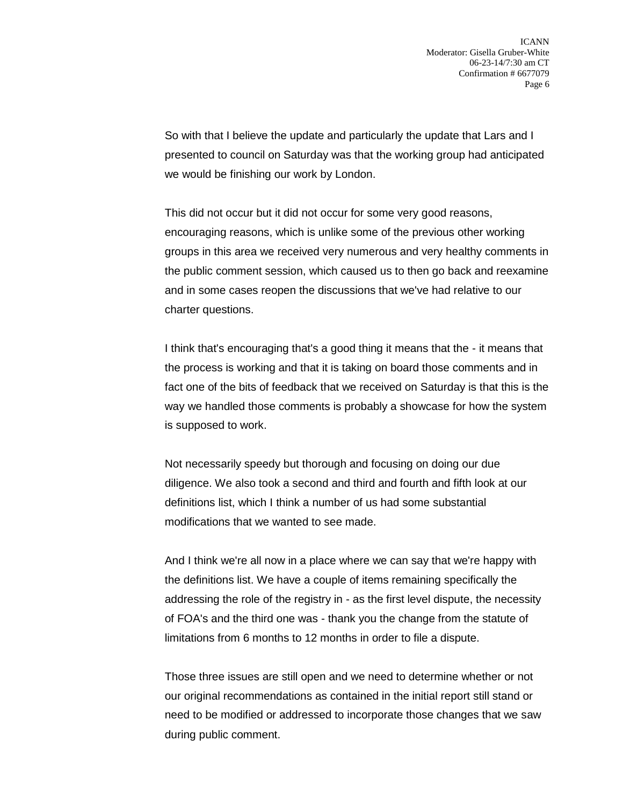So with that I believe the update and particularly the update that Lars and I presented to council on Saturday was that the working group had anticipated we would be finishing our work by London.

This did not occur but it did not occur for some very good reasons, encouraging reasons, which is unlike some of the previous other working groups in this area we received very numerous and very healthy comments in the public comment session, which caused us to then go back and reexamine and in some cases reopen the discussions that we've had relative to our charter questions.

I think that's encouraging that's a good thing it means that the - it means that the process is working and that it is taking on board those comments and in fact one of the bits of feedback that we received on Saturday is that this is the way we handled those comments is probably a showcase for how the system is supposed to work.

Not necessarily speedy but thorough and focusing on doing our due diligence. We also took a second and third and fourth and fifth look at our definitions list, which I think a number of us had some substantial modifications that we wanted to see made.

And I think we're all now in a place where we can say that we're happy with the definitions list. We have a couple of items remaining specifically the addressing the role of the registry in - as the first level dispute, the necessity of FOA's and the third one was - thank you the change from the statute of limitations from 6 months to 12 months in order to file a dispute.

Those three issues are still open and we need to determine whether or not our original recommendations as contained in the initial report still stand or need to be modified or addressed to incorporate those changes that we saw during public comment.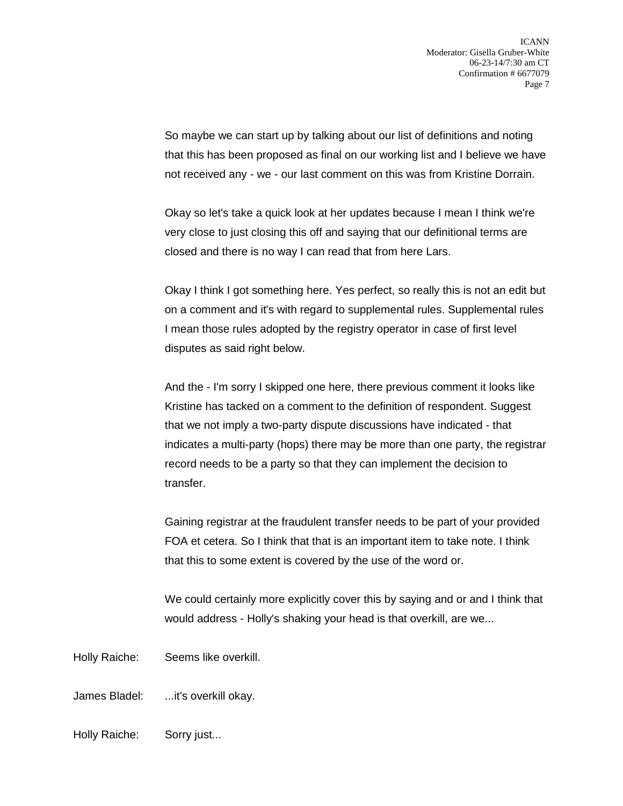So maybe we can start up by talking about our list of definitions and noting that this has been proposed as final on our working list and I believe we have not received any - we - our last comment on this was from Kristine Dorrain.

Okay so let's take a quick look at her updates because I mean I think we're very close to just closing this off and saying that our definitional terms are closed and there is no way I can read that from here Lars.

Okay I think I got something here. Yes perfect, so really this is not an edit but on a comment and it's with regard to supplemental rules. Supplemental rules I mean those rules adopted by the registry operator in case of first level disputes as said right below.

And the - I'm sorry I skipped one here, there previous comment it looks like Kristine has tacked on a comment to the definition of respondent. Suggest that we not imply a two-party dispute discussions have indicated - that indicates a multi-party (hops) there may be more than one party, the registrar record needs to be a party so that they can implement the decision to transfer.

Gaining registrar at the fraudulent transfer needs to be part of your provided FOA et cetera. So I think that that is an important item to take note. I think that this to some extent is covered by the use of the word or.

We could certainly more explicitly cover this by saying and or and I think that would address - Holly's shaking your head is that overkill, are we...

Holly Raiche: Seems like overkill.

James Bladel: ...it's overkill okay.

Holly Raiche: Sorry just...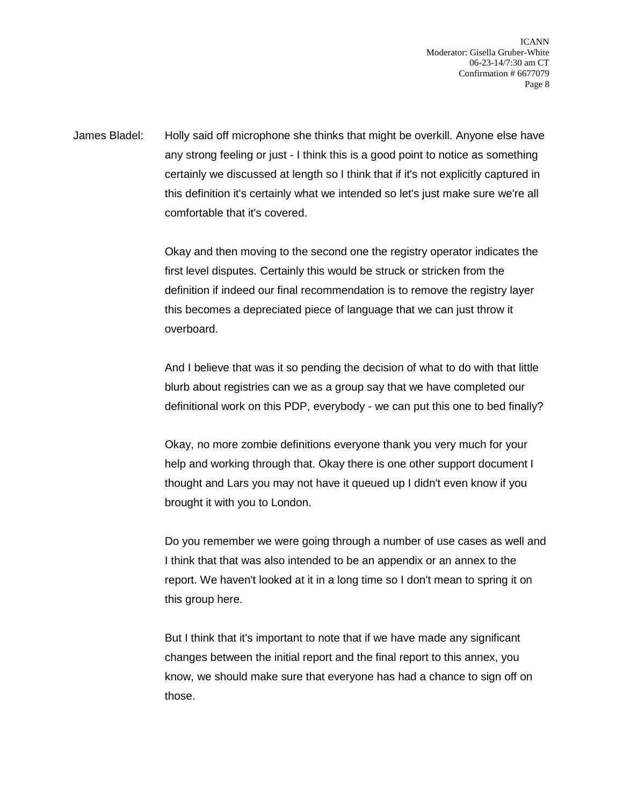ICANN Moderator: Gisella Gruber-White 06-23-14/7:30 am CT Confirmation # 6677079 Page 8

James Bladel: Holly said off microphone she thinks that might be overkill. Anyone else have any strong feeling or just - I think this is a good point to notice as something certainly we discussed at length so I think that if it's not explicitly captured in this definition it's certainly what we intended so let's just make sure we're all comfortable that it's covered.

> Okay and then moving to the second one the registry operator indicates the first level disputes. Certainly this would be struck or stricken from the definition if indeed our final recommendation is to remove the registry layer this becomes a depreciated piece of language that we can just throw it overboard.

And I believe that was it so pending the decision of what to do with that little blurb about registries can we as a group say that we have completed our definitional work on this PDP, everybody - we can put this one to bed finally?

Okay, no more zombie definitions everyone thank you very much for your help and working through that. Okay there is one other support document I thought and Lars you may not have it queued up I didn't even know if you brought it with you to London.

Do you remember we were going through a number of use cases as well and I think that that was also intended to be an appendix or an annex to the report. We haven't looked at it in a long time so I don't mean to spring it on this group here.

But I think that it's important to note that if we have made any significant changes between the initial report and the final report to this annex, you know, we should make sure that everyone has had a chance to sign off on those.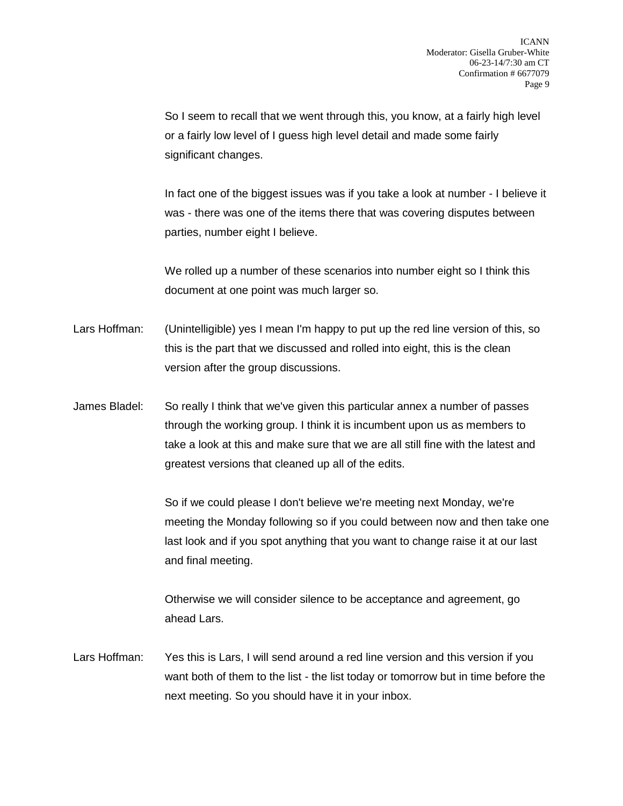So I seem to recall that we went through this, you know, at a fairly high level or a fairly low level of I guess high level detail and made some fairly significant changes.

In fact one of the biggest issues was if you take a look at number - I believe it was - there was one of the items there that was covering disputes between parties, number eight I believe.

We rolled up a number of these scenarios into number eight so I think this document at one point was much larger so.

- Lars Hoffman: (Unintelligible) yes I mean I'm happy to put up the red line version of this, so this is the part that we discussed and rolled into eight, this is the clean version after the group discussions.
- James Bladel: So really I think that we've given this particular annex a number of passes through the working group. I think it is incumbent upon us as members to take a look at this and make sure that we are all still fine with the latest and greatest versions that cleaned up all of the edits.

So if we could please I don't believe we're meeting next Monday, we're meeting the Monday following so if you could between now and then take one last look and if you spot anything that you want to change raise it at our last and final meeting.

Otherwise we will consider silence to be acceptance and agreement, go ahead Lars.

Lars Hoffman: Yes this is Lars, I will send around a red line version and this version if you want both of them to the list - the list today or tomorrow but in time before the next meeting. So you should have it in your inbox.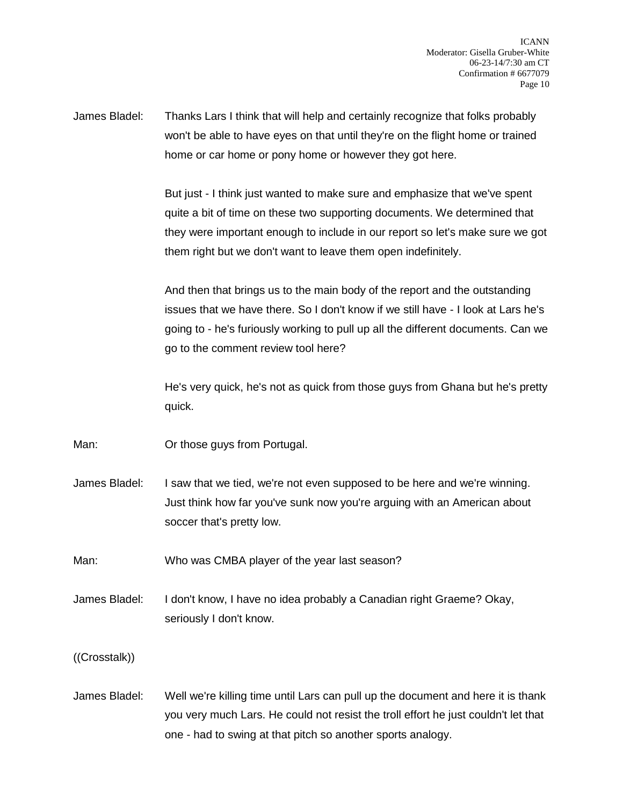James Bladel: Thanks Lars I think that will help and certainly recognize that folks probably won't be able to have eyes on that until they're on the flight home or trained home or car home or pony home or however they got here.

> But just - I think just wanted to make sure and emphasize that we've spent quite a bit of time on these two supporting documents. We determined that they were important enough to include in our report so let's make sure we got them right but we don't want to leave them open indefinitely.

> And then that brings us to the main body of the report and the outstanding issues that we have there. So I don't know if we still have - I look at Lars he's going to - he's furiously working to pull up all the different documents. Can we go to the comment review tool here?

> He's very quick, he's not as quick from those guys from Ghana but he's pretty quick.

Man: Or those guys from Portugal.

James Bladel: I saw that we tied, we're not even supposed to be here and we're winning. Just think how far you've sunk now you're arguing with an American about soccer that's pretty low.

Man: Who was CMBA player of the year last season?

James Bladel: I don't know, I have no idea probably a Canadian right Graeme? Okay, seriously I don't know.

((Crosstalk))

James Bladel: Well we're killing time until Lars can pull up the document and here it is thank you very much Lars. He could not resist the troll effort he just couldn't let that one - had to swing at that pitch so another sports analogy.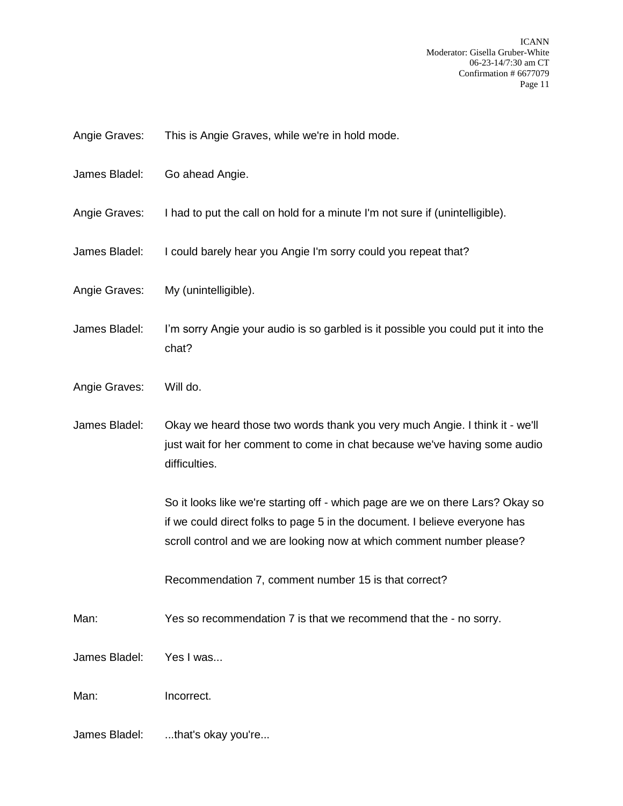- Angie Graves: This is Angie Graves, while we're in hold mode.
- James Bladel: Go ahead Angie.
- Angie Graves: I had to put the call on hold for a minute I'm not sure if (unintelligible).
- James Bladel: I could barely hear you Angie I'm sorry could you repeat that?
- Angie Graves: My (unintelligible).
- James Bladel: I'm sorry Angie your audio is so garbled is it possible you could put it into the chat?
- Angie Graves: Will do.
- James Bladel: Okay we heard those two words thank you very much Angie. I think it we'll just wait for her comment to come in chat because we've having some audio difficulties.

So it looks like we're starting off - which page are we on there Lars? Okay so if we could direct folks to page 5 in the document. I believe everyone has scroll control and we are looking now at which comment number please?

Recommendation 7, comment number 15 is that correct?

Man: Yes so recommendation 7 is that we recommend that the - no sorry.

James Bladel: Yes I was...

Man: Incorrect.

James Bladel: ...that's okay you're...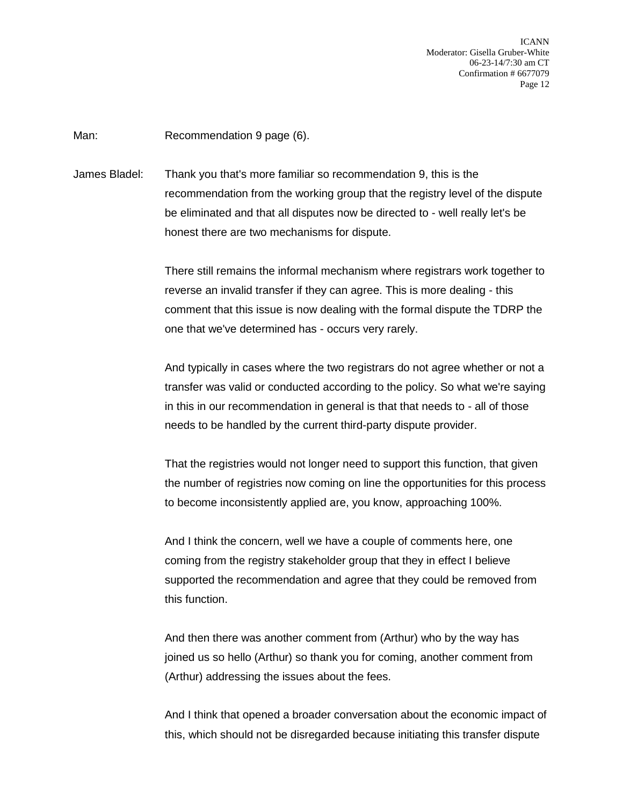ICANN Moderator: Gisella Gruber-White 06-23-14/7:30 am CT Confirmation # 6677079 Page 12

Man: Recommendation 9 page (6).

James Bladel: Thank you that's more familiar so recommendation 9, this is the recommendation from the working group that the registry level of the dispute be eliminated and that all disputes now be directed to - well really let's be honest there are two mechanisms for dispute.

> There still remains the informal mechanism where registrars work together to reverse an invalid transfer if they can agree. This is more dealing - this comment that this issue is now dealing with the formal dispute the TDRP the one that we've determined has - occurs very rarely.

> And typically in cases where the two registrars do not agree whether or not a transfer was valid or conducted according to the policy. So what we're saying in this in our recommendation in general is that that needs to - all of those needs to be handled by the current third-party dispute provider.

> That the registries would not longer need to support this function, that given the number of registries now coming on line the opportunities for this process to become inconsistently applied are, you know, approaching 100%.

And I think the concern, well we have a couple of comments here, one coming from the registry stakeholder group that they in effect I believe supported the recommendation and agree that they could be removed from this function.

And then there was another comment from (Arthur) who by the way has joined us so hello (Arthur) so thank you for coming, another comment from (Arthur) addressing the issues about the fees.

And I think that opened a broader conversation about the economic impact of this, which should not be disregarded because initiating this transfer dispute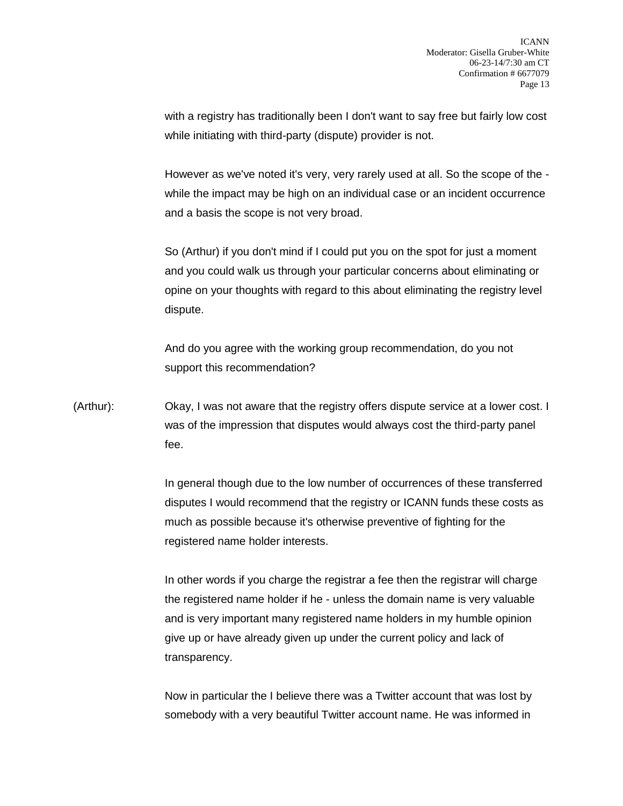with a registry has traditionally been I don't want to say free but fairly low cost while initiating with third-party (dispute) provider is not.

However as we've noted it's very, very rarely used at all. So the scope of the while the impact may be high on an individual case or an incident occurrence and a basis the scope is not very broad.

So (Arthur) if you don't mind if I could put you on the spot for just a moment and you could walk us through your particular concerns about eliminating or opine on your thoughts with regard to this about eliminating the registry level dispute.

And do you agree with the working group recommendation, do you not support this recommendation?

(Arthur): Okay, I was not aware that the registry offers dispute service at a lower cost. I was of the impression that disputes would always cost the third-party panel fee.

> In general though due to the low number of occurrences of these transferred disputes I would recommend that the registry or ICANN funds these costs as much as possible because it's otherwise preventive of fighting for the registered name holder interests.

In other words if you charge the registrar a fee then the registrar will charge the registered name holder if he - unless the domain name is very valuable and is very important many registered name holders in my humble opinion give up or have already given up under the current policy and lack of transparency.

Now in particular the I believe there was a Twitter account that was lost by somebody with a very beautiful Twitter account name. He was informed in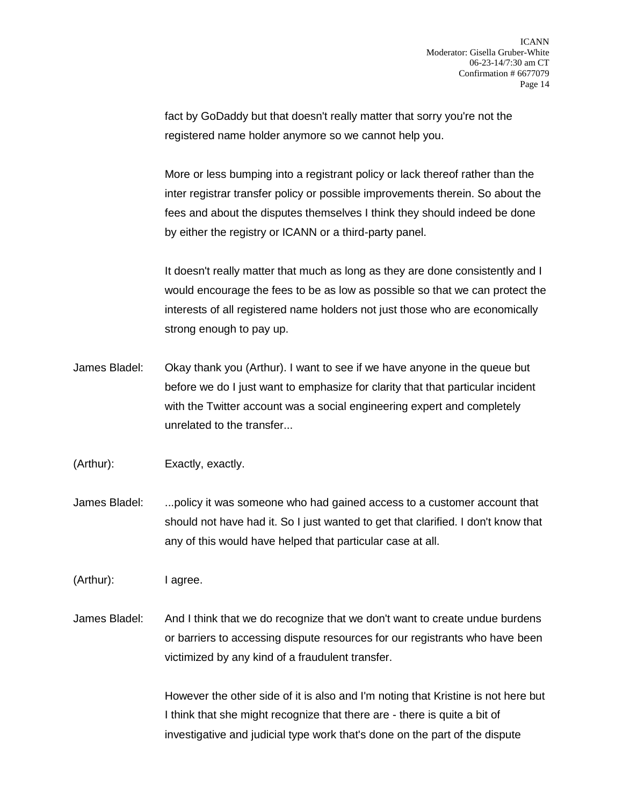fact by GoDaddy but that doesn't really matter that sorry you're not the registered name holder anymore so we cannot help you.

More or less bumping into a registrant policy or lack thereof rather than the inter registrar transfer policy or possible improvements therein. So about the fees and about the disputes themselves I think they should indeed be done by either the registry or ICANN or a third-party panel.

It doesn't really matter that much as long as they are done consistently and I would encourage the fees to be as low as possible so that we can protect the interests of all registered name holders not just those who are economically strong enough to pay up.

- James Bladel: Okay thank you (Arthur). I want to see if we have anyone in the queue but before we do I just want to emphasize for clarity that that particular incident with the Twitter account was a social engineering expert and completely unrelated to the transfer...
- (Arthur): Exactly, exactly.
- James Bladel: ...policy it was someone who had gained access to a customer account that should not have had it. So I just wanted to get that clarified. I don't know that any of this would have helped that particular case at all.
- (Arthur): I agree.
- James Bladel: And I think that we do recognize that we don't want to create undue burdens or barriers to accessing dispute resources for our registrants who have been victimized by any kind of a fraudulent transfer.

However the other side of it is also and I'm noting that Kristine is not here but I think that she might recognize that there are - there is quite a bit of investigative and judicial type work that's done on the part of the dispute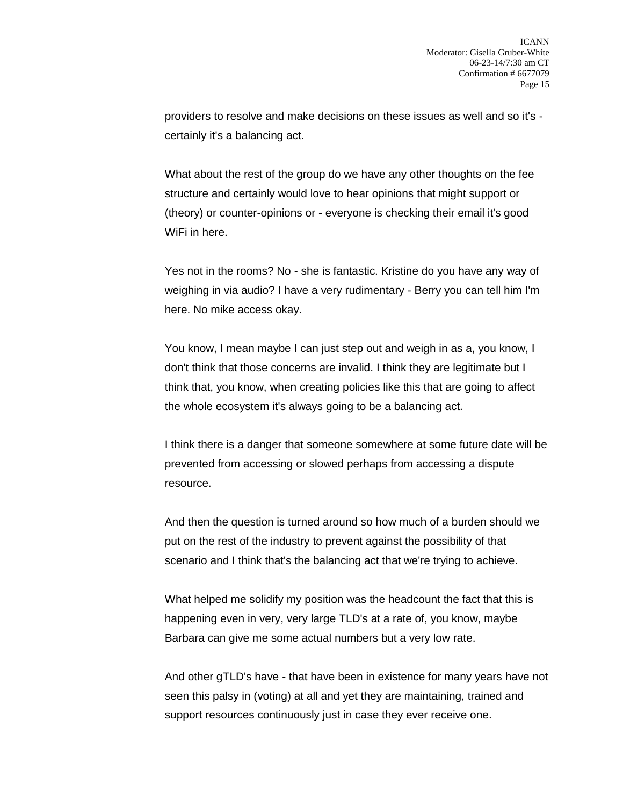providers to resolve and make decisions on these issues as well and so it's certainly it's a balancing act.

What about the rest of the group do we have any other thoughts on the fee structure and certainly would love to hear opinions that might support or (theory) or counter-opinions or - everyone is checking their email it's good WiFi in here.

Yes not in the rooms? No - she is fantastic. Kristine do you have any way of weighing in via audio? I have a very rudimentary - Berry you can tell him I'm here. No mike access okay.

You know, I mean maybe I can just step out and weigh in as a, you know, I don't think that those concerns are invalid. I think they are legitimate but I think that, you know, when creating policies like this that are going to affect the whole ecosystem it's always going to be a balancing act.

I think there is a danger that someone somewhere at some future date will be prevented from accessing or slowed perhaps from accessing a dispute resource.

And then the question is turned around so how much of a burden should we put on the rest of the industry to prevent against the possibility of that scenario and I think that's the balancing act that we're trying to achieve.

What helped me solidify my position was the headcount the fact that this is happening even in very, very large TLD's at a rate of, you know, maybe Barbara can give me some actual numbers but a very low rate.

And other gTLD's have - that have been in existence for many years have not seen this palsy in (voting) at all and yet they are maintaining, trained and support resources continuously just in case they ever receive one.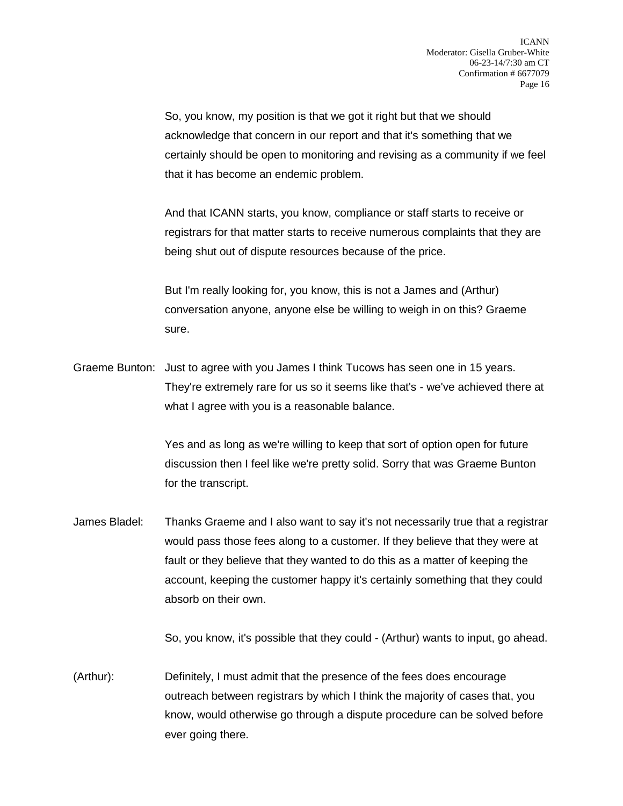So, you know, my position is that we got it right but that we should acknowledge that concern in our report and that it's something that we certainly should be open to monitoring and revising as a community if we feel that it has become an endemic problem.

And that ICANN starts, you know, compliance or staff starts to receive or registrars for that matter starts to receive numerous complaints that they are being shut out of dispute resources because of the price.

But I'm really looking for, you know, this is not a James and (Arthur) conversation anyone, anyone else be willing to weigh in on this? Graeme sure.

Graeme Bunton: Just to agree with you James I think Tucows has seen one in 15 years. They're extremely rare for us so it seems like that's - we've achieved there at what I agree with you is a reasonable balance.

> Yes and as long as we're willing to keep that sort of option open for future discussion then I feel like we're pretty solid. Sorry that was Graeme Bunton for the transcript.

James Bladel: Thanks Graeme and I also want to say it's not necessarily true that a registrar would pass those fees along to a customer. If they believe that they were at fault or they believe that they wanted to do this as a matter of keeping the account, keeping the customer happy it's certainly something that they could absorb on their own.

So, you know, it's possible that they could - (Arthur) wants to input, go ahead.

(Arthur): Definitely, I must admit that the presence of the fees does encourage outreach between registrars by which I think the majority of cases that, you know, would otherwise go through a dispute procedure can be solved before ever going there.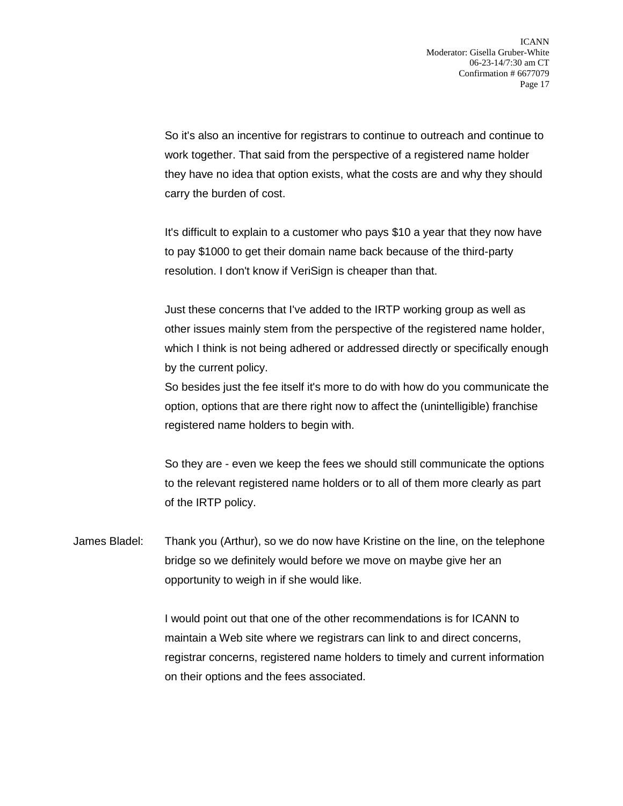So it's also an incentive for registrars to continue to outreach and continue to work together. That said from the perspective of a registered name holder they have no idea that option exists, what the costs are and why they should carry the burden of cost.

It's difficult to explain to a customer who pays \$10 a year that they now have to pay \$1000 to get their domain name back because of the third-party resolution. I don't know if VeriSign is cheaper than that.

Just these concerns that I've added to the IRTP working group as well as other issues mainly stem from the perspective of the registered name holder, which I think is not being adhered or addressed directly or specifically enough by the current policy.

So besides just the fee itself it's more to do with how do you communicate the option, options that are there right now to affect the (unintelligible) franchise registered name holders to begin with.

So they are - even we keep the fees we should still communicate the options to the relevant registered name holders or to all of them more clearly as part of the IRTP policy.

James Bladel: Thank you (Arthur), so we do now have Kristine on the line, on the telephone bridge so we definitely would before we move on maybe give her an opportunity to weigh in if she would like.

> I would point out that one of the other recommendations is for ICANN to maintain a Web site where we registrars can link to and direct concerns, registrar concerns, registered name holders to timely and current information on their options and the fees associated.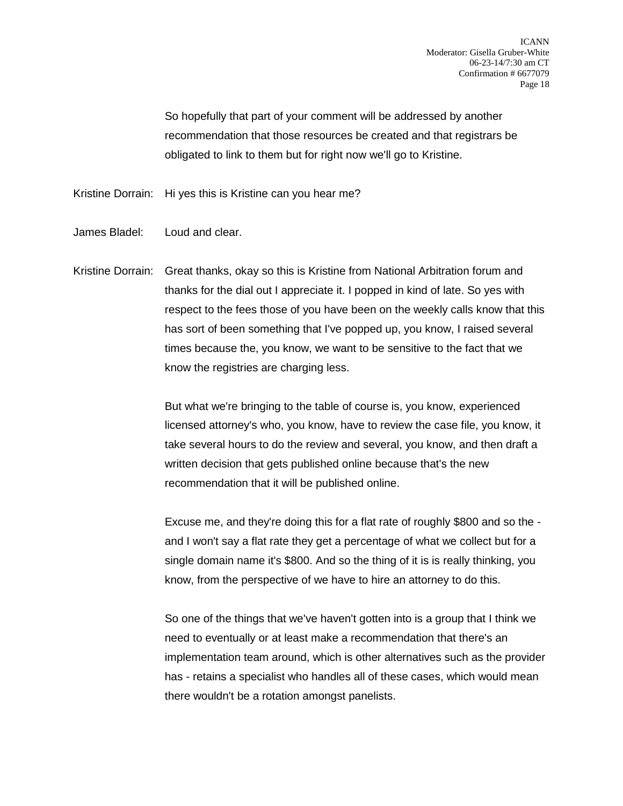So hopefully that part of your comment will be addressed by another recommendation that those resources be created and that registrars be obligated to link to them but for right now we'll go to Kristine.

Kristine Dorrain: Hi yes this is Kristine can you hear me?

- James Bladel: Loud and clear.
- Kristine Dorrain: Great thanks, okay so this is Kristine from National Arbitration forum and thanks for the dial out I appreciate it. I popped in kind of late. So yes with respect to the fees those of you have been on the weekly calls know that this has sort of been something that I've popped up, you know, I raised several times because the, you know, we want to be sensitive to the fact that we know the registries are charging less.

But what we're bringing to the table of course is, you know, experienced licensed attorney's who, you know, have to review the case file, you know, it take several hours to do the review and several, you know, and then draft a written decision that gets published online because that's the new recommendation that it will be published online.

Excuse me, and they're doing this for a flat rate of roughly \$800 and so the and I won't say a flat rate they get a percentage of what we collect but for a single domain name it's \$800. And so the thing of it is is really thinking, you know, from the perspective of we have to hire an attorney to do this.

So one of the things that we've haven't gotten into is a group that I think we need to eventually or at least make a recommendation that there's an implementation team around, which is other alternatives such as the provider has - retains a specialist who handles all of these cases, which would mean there wouldn't be a rotation amongst panelists.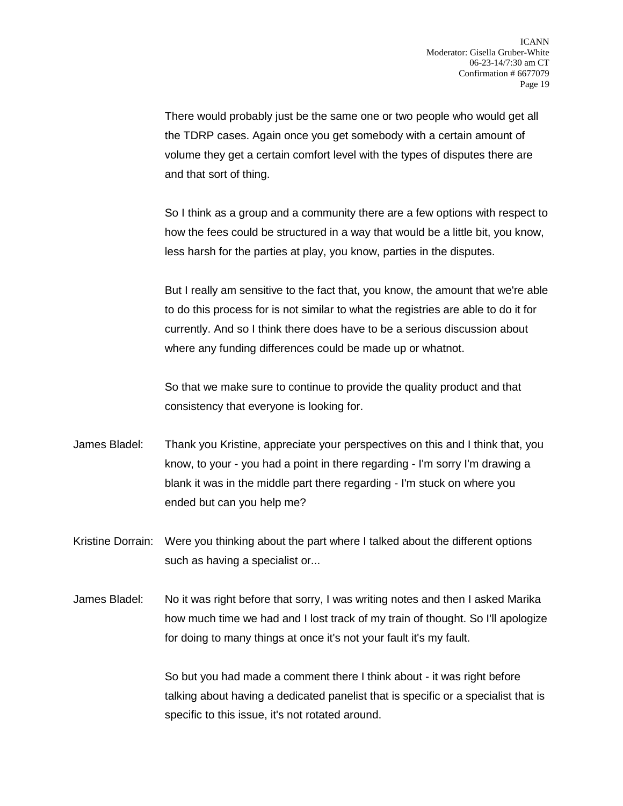There would probably just be the same one or two people who would get all the TDRP cases. Again once you get somebody with a certain amount of volume they get a certain comfort level with the types of disputes there are and that sort of thing.

So I think as a group and a community there are a few options with respect to how the fees could be structured in a way that would be a little bit, you know, less harsh for the parties at play, you know, parties in the disputes.

But I really am sensitive to the fact that, you know, the amount that we're able to do this process for is not similar to what the registries are able to do it for currently. And so I think there does have to be a serious discussion about where any funding differences could be made up or whatnot.

So that we make sure to continue to provide the quality product and that consistency that everyone is looking for.

- James Bladel: Thank you Kristine, appreciate your perspectives on this and I think that, you know, to your - you had a point in there regarding - I'm sorry I'm drawing a blank it was in the middle part there regarding - I'm stuck on where you ended but can you help me?
- Kristine Dorrain: Were you thinking about the part where I talked about the different options such as having a specialist or...
- James Bladel: No it was right before that sorry, I was writing notes and then I asked Marika how much time we had and I lost track of my train of thought. So I'll apologize for doing to many things at once it's not your fault it's my fault.

So but you had made a comment there I think about - it was right before talking about having a dedicated panelist that is specific or a specialist that is specific to this issue, it's not rotated around.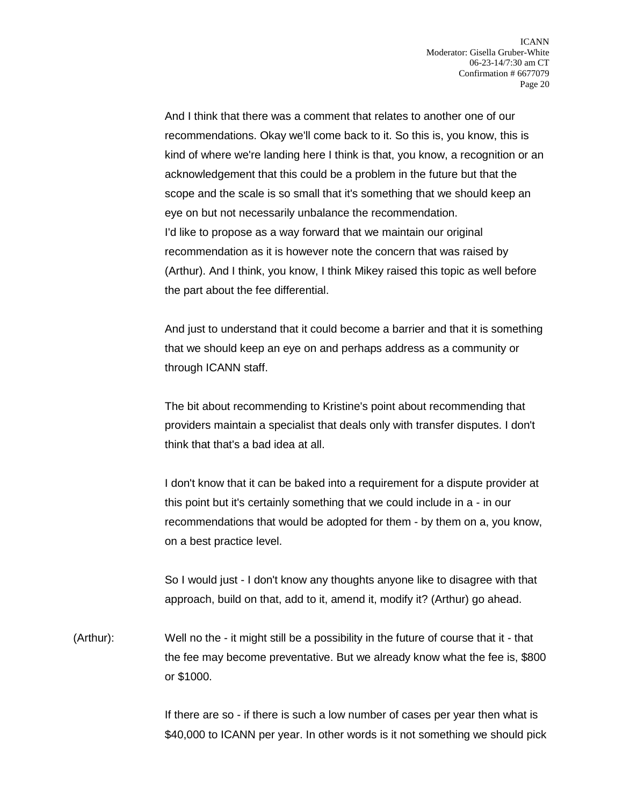And I think that there was a comment that relates to another one of our recommendations. Okay we'll come back to it. So this is, you know, this is kind of where we're landing here I think is that, you know, a recognition or an acknowledgement that this could be a problem in the future but that the scope and the scale is so small that it's something that we should keep an eye on but not necessarily unbalance the recommendation. I'd like to propose as a way forward that we maintain our original recommendation as it is however note the concern that was raised by (Arthur). And I think, you know, I think Mikey raised this topic as well before the part about the fee differential.

And just to understand that it could become a barrier and that it is something that we should keep an eye on and perhaps address as a community or through ICANN staff.

The bit about recommending to Kristine's point about recommending that providers maintain a specialist that deals only with transfer disputes. I don't think that that's a bad idea at all.

I don't know that it can be baked into a requirement for a dispute provider at this point but it's certainly something that we could include in a - in our recommendations that would be adopted for them - by them on a, you know, on a best practice level.

So I would just - I don't know any thoughts anyone like to disagree with that approach, build on that, add to it, amend it, modify it? (Arthur) go ahead.

(Arthur): Well no the - it might still be a possibility in the future of course that it - that the fee may become preventative. But we already know what the fee is, \$800 or \$1000.

> If there are so - if there is such a low number of cases per year then what is \$40,000 to ICANN per year. In other words is it not something we should pick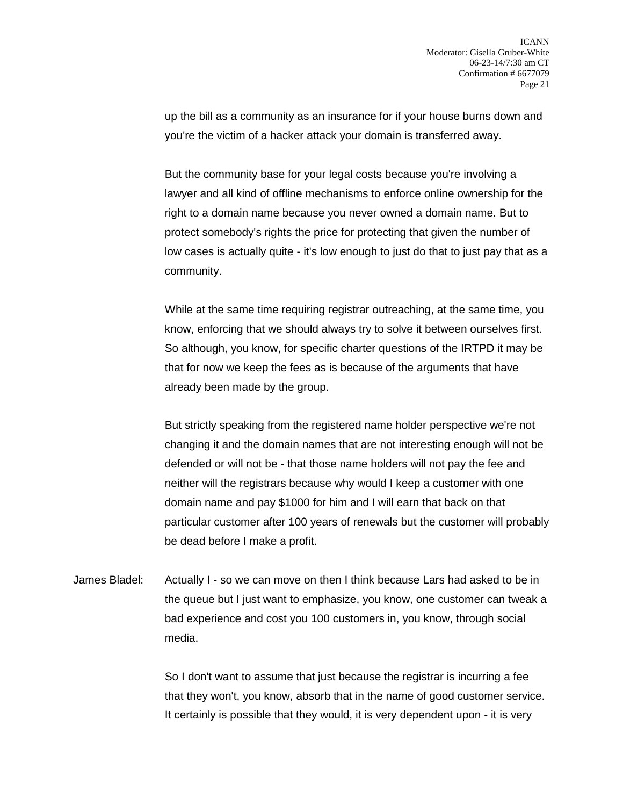up the bill as a community as an insurance for if your house burns down and you're the victim of a hacker attack your domain is transferred away.

But the community base for your legal costs because you're involving a lawyer and all kind of offline mechanisms to enforce online ownership for the right to a domain name because you never owned a domain name. But to protect somebody's rights the price for protecting that given the number of low cases is actually quite - it's low enough to just do that to just pay that as a community.

While at the same time requiring registrar outreaching, at the same time, you know, enforcing that we should always try to solve it between ourselves first. So although, you know, for specific charter questions of the IRTPD it may be that for now we keep the fees as is because of the arguments that have already been made by the group.

But strictly speaking from the registered name holder perspective we're not changing it and the domain names that are not interesting enough will not be defended or will not be - that those name holders will not pay the fee and neither will the registrars because why would I keep a customer with one domain name and pay \$1000 for him and I will earn that back on that particular customer after 100 years of renewals but the customer will probably be dead before I make a profit.

James Bladel: Actually I - so we can move on then I think because Lars had asked to be in the queue but I just want to emphasize, you know, one customer can tweak a bad experience and cost you 100 customers in, you know, through social media.

> So I don't want to assume that just because the registrar is incurring a fee that they won't, you know, absorb that in the name of good customer service. It certainly is possible that they would, it is very dependent upon - it is very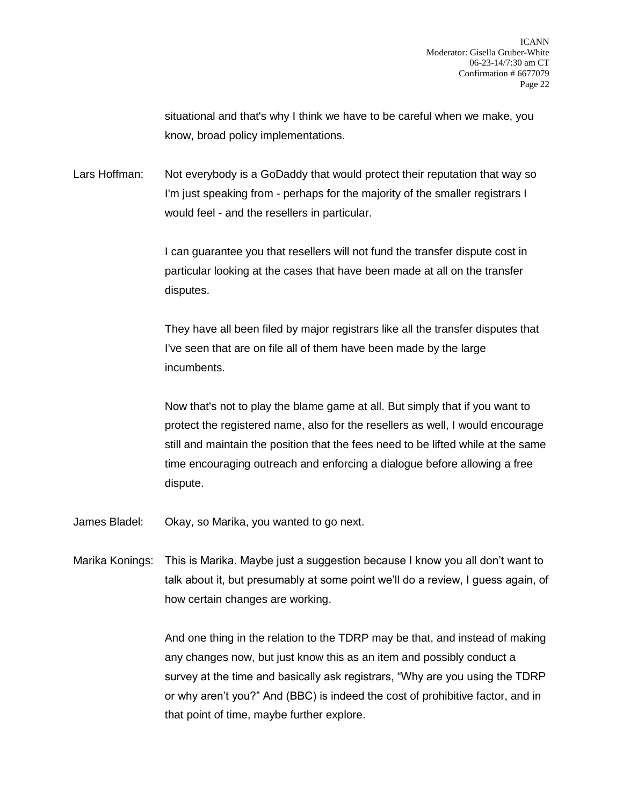situational and that's why I think we have to be careful when we make, you know, broad policy implementations.

Lars Hoffman: Not everybody is a GoDaddy that would protect their reputation that way so I'm just speaking from - perhaps for the majority of the smaller registrars I would feel - and the resellers in particular.

> I can guarantee you that resellers will not fund the transfer dispute cost in particular looking at the cases that have been made at all on the transfer disputes.

They have all been filed by major registrars like all the transfer disputes that I've seen that are on file all of them have been made by the large incumbents.

Now that's not to play the blame game at all. But simply that if you want to protect the registered name, also for the resellers as well, I would encourage still and maintain the position that the fees need to be lifted while at the same time encouraging outreach and enforcing a dialogue before allowing a free dispute.

James Bladel: Okay, so Marika, you wanted to go next.

Marika Konings: This is Marika. Maybe just a suggestion because I know you all don't want to talk about it, but presumably at some point we'll do a review, I guess again, of how certain changes are working.

> And one thing in the relation to the TDRP may be that, and instead of making any changes now, but just know this as an item and possibly conduct a survey at the time and basically ask registrars, "Why are you using the TDRP or why aren't you?" And (BBC) is indeed the cost of prohibitive factor, and in that point of time, maybe further explore.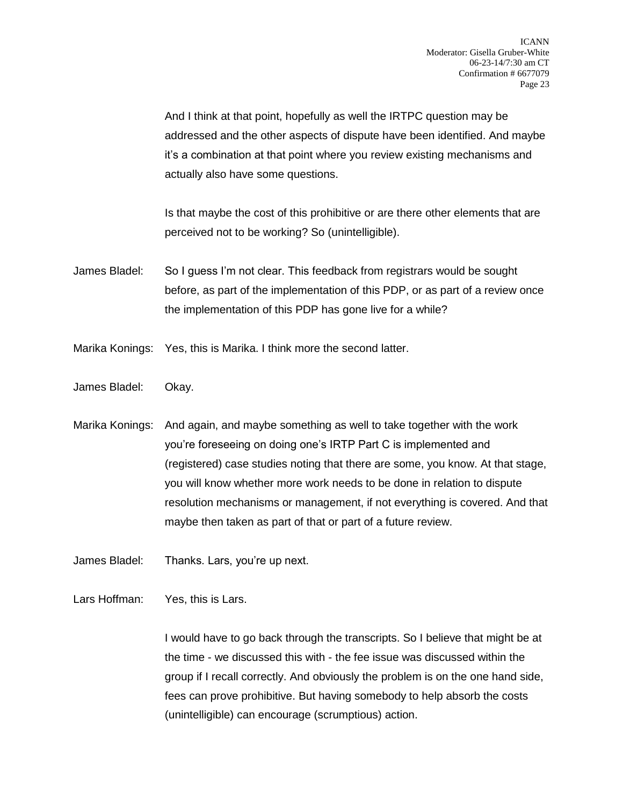And I think at that point, hopefully as well the IRTPC question may be addressed and the other aspects of dispute have been identified. And maybe it's a combination at that point where you review existing mechanisms and actually also have some questions.

Is that maybe the cost of this prohibitive or are there other elements that are perceived not to be working? So (unintelligible).

- James Bladel: So I guess I'm not clear. This feedback from registrars would be sought before, as part of the implementation of this PDP, or as part of a review once the implementation of this PDP has gone live for a while?
- Marika Konings: Yes, this is Marika. I think more the second latter.
- James Bladel: Okay.
- Marika Konings: And again, and maybe something as well to take together with the work you're foreseeing on doing one's IRTP Part C is implemented and (registered) case studies noting that there are some, you know. At that stage, you will know whether more work needs to be done in relation to dispute resolution mechanisms or management, if not everything is covered. And that maybe then taken as part of that or part of a future review.
- James Bladel: Thanks. Lars, you're up next.

Lars Hoffman: Yes, this is Lars.

I would have to go back through the transcripts. So I believe that might be at the time - we discussed this with - the fee issue was discussed within the group if I recall correctly. And obviously the problem is on the one hand side, fees can prove prohibitive. But having somebody to help absorb the costs (unintelligible) can encourage (scrumptious) action.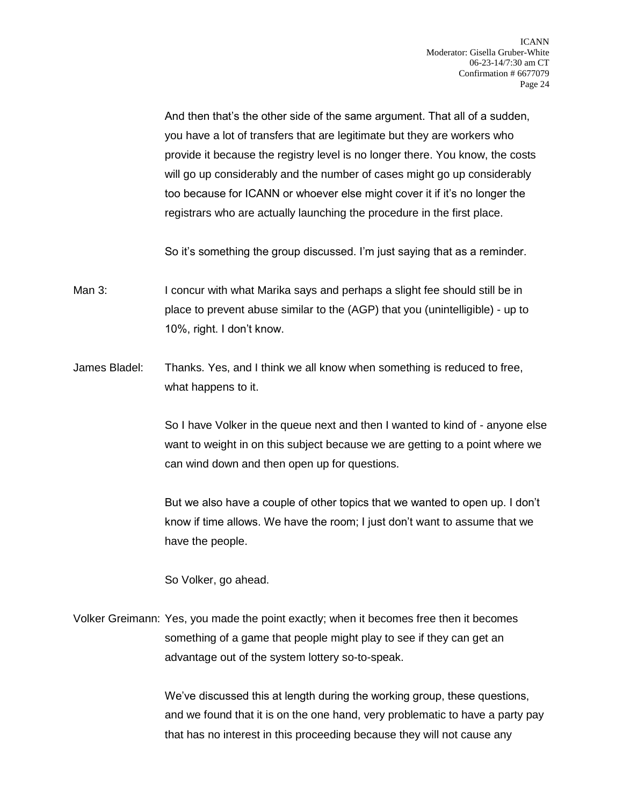And then that's the other side of the same argument. That all of a sudden, you have a lot of transfers that are legitimate but they are workers who provide it because the registry level is no longer there. You know, the costs will go up considerably and the number of cases might go up considerably too because for ICANN or whoever else might cover it if it's no longer the registrars who are actually launching the procedure in the first place.

So it's something the group discussed. I'm just saying that as a reminder.

- Man 3: I concur with what Marika says and perhaps a slight fee should still be in place to prevent abuse similar to the (AGP) that you (unintelligible) - up to 10%, right. I don't know.
- James Bladel: Thanks. Yes, and I think we all know when something is reduced to free, what happens to it.

So I have Volker in the queue next and then I wanted to kind of - anyone else want to weight in on this subject because we are getting to a point where we can wind down and then open up for questions.

But we also have a couple of other topics that we wanted to open up. I don't know if time allows. We have the room; I just don't want to assume that we have the people.

So Volker, go ahead.

Volker Greimann: Yes, you made the point exactly; when it becomes free then it becomes something of a game that people might play to see if they can get an advantage out of the system lottery so-to-speak.

> We've discussed this at length during the working group, these questions, and we found that it is on the one hand, very problematic to have a party pay that has no interest in this proceeding because they will not cause any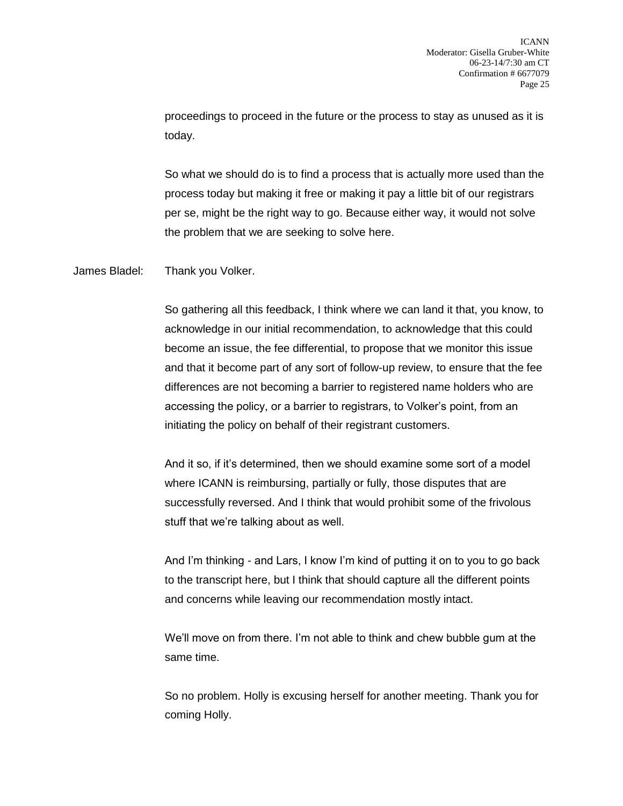proceedings to proceed in the future or the process to stay as unused as it is today.

So what we should do is to find a process that is actually more used than the process today but making it free or making it pay a little bit of our registrars per se, might be the right way to go. Because either way, it would not solve the problem that we are seeking to solve here.

James Bladel: Thank you Volker.

So gathering all this feedback, I think where we can land it that, you know, to acknowledge in our initial recommendation, to acknowledge that this could become an issue, the fee differential, to propose that we monitor this issue and that it become part of any sort of follow-up review, to ensure that the fee differences are not becoming a barrier to registered name holders who are accessing the policy, or a barrier to registrars, to Volker's point, from an initiating the policy on behalf of their registrant customers.

And it so, if it's determined, then we should examine some sort of a model where ICANN is reimbursing, partially or fully, those disputes that are successfully reversed. And I think that would prohibit some of the frivolous stuff that we're talking about as well.

And I'm thinking - and Lars, I know I'm kind of putting it on to you to go back to the transcript here, but I think that should capture all the different points and concerns while leaving our recommendation mostly intact.

We'll move on from there. I'm not able to think and chew bubble gum at the same time.

So no problem. Holly is excusing herself for another meeting. Thank you for coming Holly.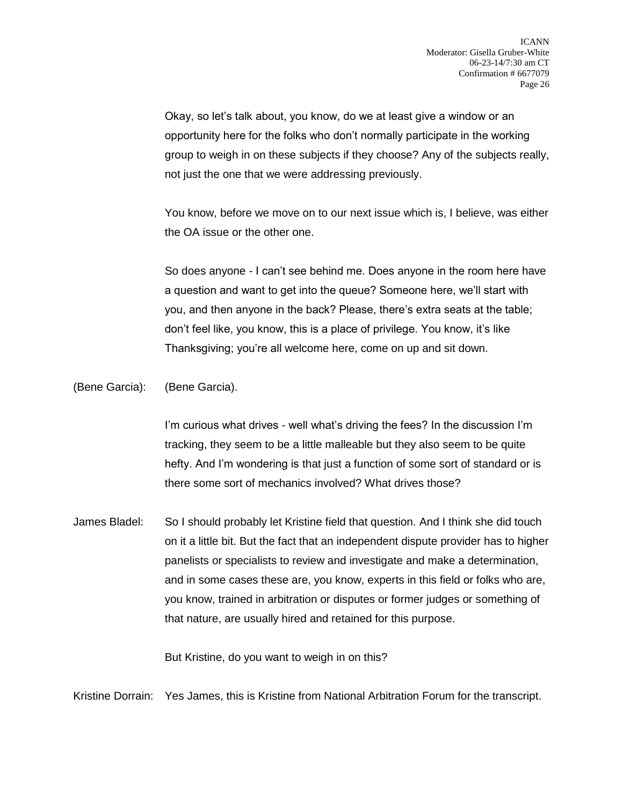Okay, so let's talk about, you know, do we at least give a window or an opportunity here for the folks who don't normally participate in the working group to weigh in on these subjects if they choose? Any of the subjects really, not just the one that we were addressing previously.

You know, before we move on to our next issue which is, I believe, was either the OA issue or the other one.

So does anyone - I can't see behind me. Does anyone in the room here have a question and want to get into the queue? Someone here, we'll start with you, and then anyone in the back? Please, there's extra seats at the table; don't feel like, you know, this is a place of privilege. You know, it's like Thanksgiving; you're all welcome here, come on up and sit down.

(Bene Garcia): (Bene Garcia).

I'm curious what drives - well what's driving the fees? In the discussion I'm tracking, they seem to be a little malleable but they also seem to be quite hefty. And I'm wondering is that just a function of some sort of standard or is there some sort of mechanics involved? What drives those?

James Bladel: So I should probably let Kristine field that question. And I think she did touch on it a little bit. But the fact that an independent dispute provider has to higher panelists or specialists to review and investigate and make a determination, and in some cases these are, you know, experts in this field or folks who are, you know, trained in arbitration or disputes or former judges or something of that nature, are usually hired and retained for this purpose.

But Kristine, do you want to weigh in on this?

Kristine Dorrain: Yes James, this is Kristine from National Arbitration Forum for the transcript.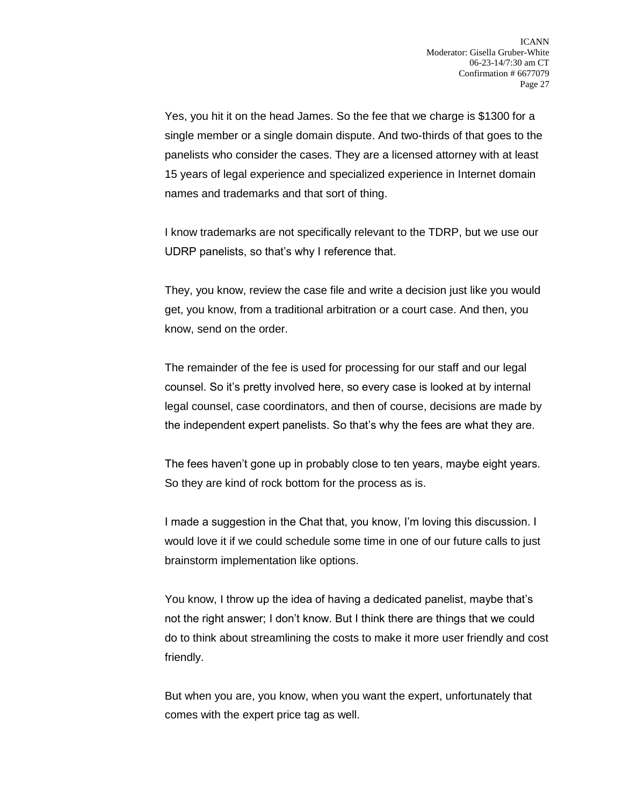Yes, you hit it on the head James. So the fee that we charge is \$1300 for a single member or a single domain dispute. And two-thirds of that goes to the panelists who consider the cases. They are a licensed attorney with at least 15 years of legal experience and specialized experience in Internet domain names and trademarks and that sort of thing.

I know trademarks are not specifically relevant to the TDRP, but we use our UDRP panelists, so that's why I reference that.

They, you know, review the case file and write a decision just like you would get, you know, from a traditional arbitration or a court case. And then, you know, send on the order.

The remainder of the fee is used for processing for our staff and our legal counsel. So it's pretty involved here, so every case is looked at by internal legal counsel, case coordinators, and then of course, decisions are made by the independent expert panelists. So that's why the fees are what they are.

The fees haven't gone up in probably close to ten years, maybe eight years. So they are kind of rock bottom for the process as is.

I made a suggestion in the Chat that, you know, I'm loving this discussion. I would love it if we could schedule some time in one of our future calls to just brainstorm implementation like options.

You know, I throw up the idea of having a dedicated panelist, maybe that's not the right answer; I don't know. But I think there are things that we could do to think about streamlining the costs to make it more user friendly and cost friendly.

But when you are, you know, when you want the expert, unfortunately that comes with the expert price tag as well.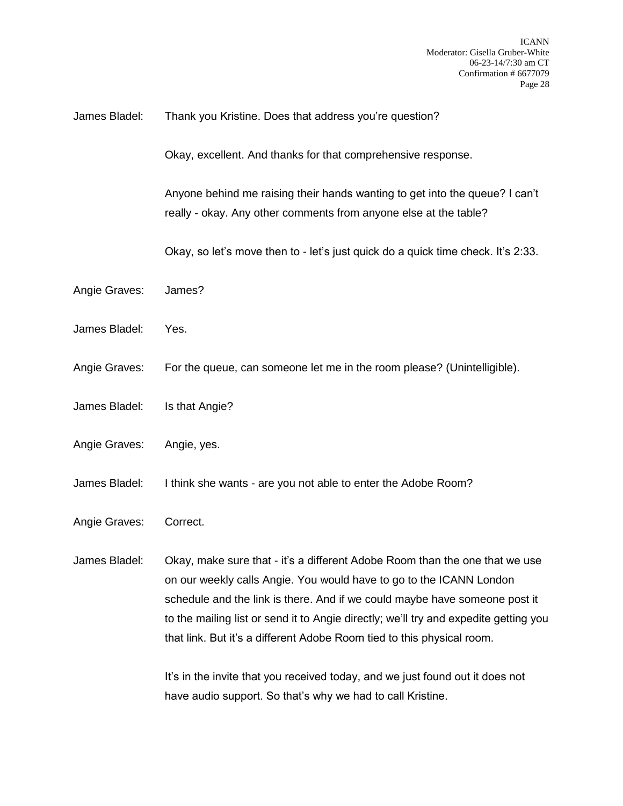## James Bladel: Thank you Kristine. Does that address you're question?

Okay, excellent. And thanks for that comprehensive response.

Anyone behind me raising their hands wanting to get into the queue? I can't really - okay. Any other comments from anyone else at the table?

Okay, so let's move then to - let's just quick do a quick time check. It's 2:33.

- Angie Graves: James?
- James Bladel: Yes.
- Angie Graves: For the queue, can someone let me in the room please? (Unintelligible).
- James Bladel: Is that Angie?
- Angie Graves: Angie, yes.
- James Bladel: I think she wants are you not able to enter the Adobe Room?
- Angie Graves: Correct.

James Bladel: Okay, make sure that - it's a different Adobe Room than the one that we use on our weekly calls Angie. You would have to go to the ICANN London schedule and the link is there. And if we could maybe have someone post it to the mailing list or send it to Angie directly; we'll try and expedite getting you that link. But it's a different Adobe Room tied to this physical room.

> It's in the invite that you received today, and we just found out it does not have audio support. So that's why we had to call Kristine.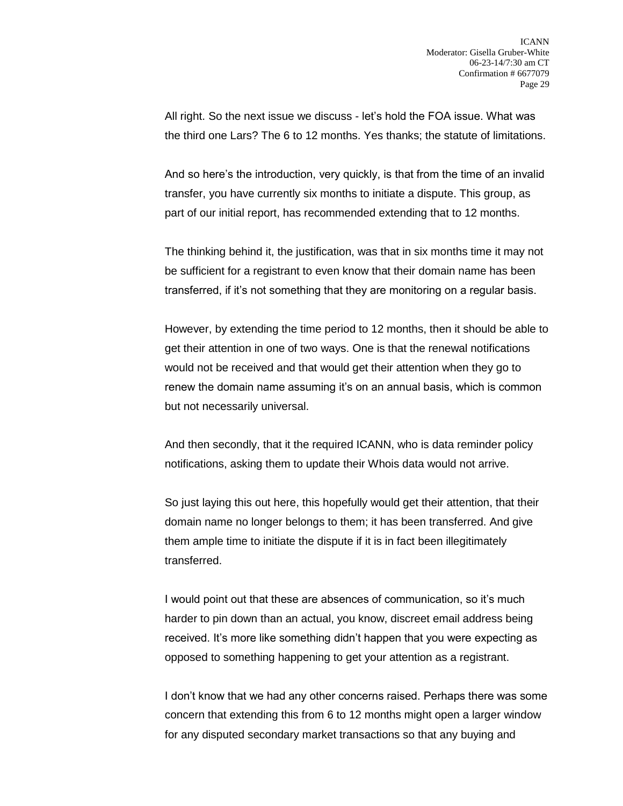All right. So the next issue we discuss - let's hold the FOA issue. What was the third one Lars? The 6 to 12 months. Yes thanks; the statute of limitations.

And so here's the introduction, very quickly, is that from the time of an invalid transfer, you have currently six months to initiate a dispute. This group, as part of our initial report, has recommended extending that to 12 months.

The thinking behind it, the justification, was that in six months time it may not be sufficient for a registrant to even know that their domain name has been transferred, if it's not something that they are monitoring on a regular basis.

However, by extending the time period to 12 months, then it should be able to get their attention in one of two ways. One is that the renewal notifications would not be received and that would get their attention when they go to renew the domain name assuming it's on an annual basis, which is common but not necessarily universal.

And then secondly, that it the required ICANN, who is data reminder policy notifications, asking them to update their Whois data would not arrive.

So just laying this out here, this hopefully would get their attention, that their domain name no longer belongs to them; it has been transferred. And give them ample time to initiate the dispute if it is in fact been illegitimately transferred.

I would point out that these are absences of communication, so it's much harder to pin down than an actual, you know, discreet email address being received. It's more like something didn't happen that you were expecting as opposed to something happening to get your attention as a registrant.

I don't know that we had any other concerns raised. Perhaps there was some concern that extending this from 6 to 12 months might open a larger window for any disputed secondary market transactions so that any buying and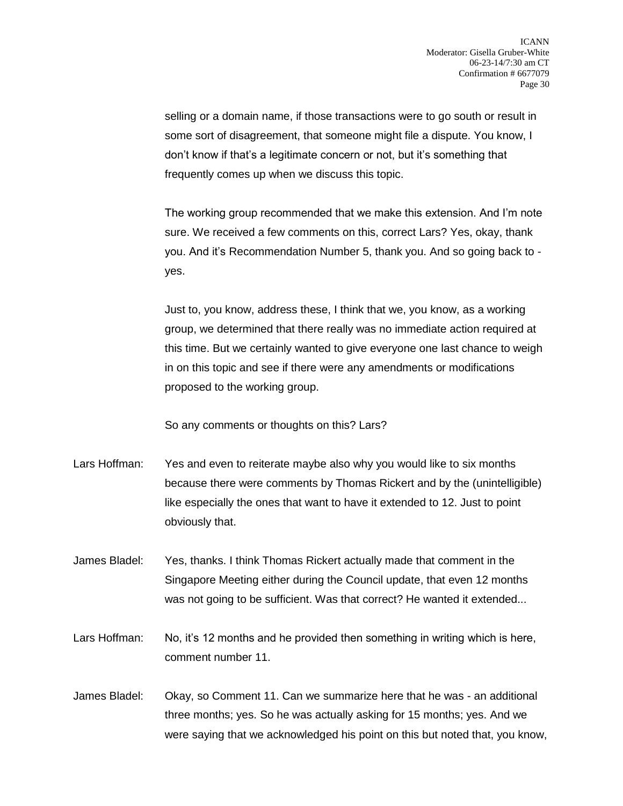selling or a domain name, if those transactions were to go south or result in some sort of disagreement, that someone might file a dispute. You know, I don't know if that's a legitimate concern or not, but it's something that frequently comes up when we discuss this topic.

The working group recommended that we make this extension. And I'm note sure. We received a few comments on this, correct Lars? Yes, okay, thank you. And it's Recommendation Number 5, thank you. And so going back to yes.

Just to, you know, address these, I think that we, you know, as a working group, we determined that there really was no immediate action required at this time. But we certainly wanted to give everyone one last chance to weigh in on this topic and see if there were any amendments or modifications proposed to the working group.

So any comments or thoughts on this? Lars?

- Lars Hoffman: Yes and even to reiterate maybe also why you would like to six months because there were comments by Thomas Rickert and by the (unintelligible) like especially the ones that want to have it extended to 12. Just to point obviously that.
- James Bladel: Yes, thanks. I think Thomas Rickert actually made that comment in the Singapore Meeting either during the Council update, that even 12 months was not going to be sufficient. Was that correct? He wanted it extended...
- Lars Hoffman: No, it's 12 months and he provided then something in writing which is here, comment number 11.
- James Bladel: Okay, so Comment 11. Can we summarize here that he was an additional three months; yes. So he was actually asking for 15 months; yes. And we were saying that we acknowledged his point on this but noted that, you know,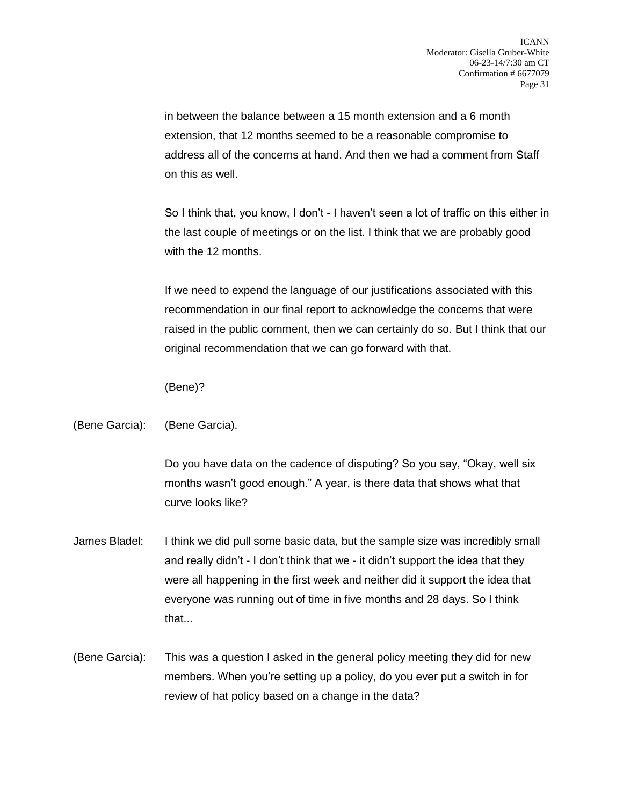in between the balance between a 15 month extension and a 6 month extension, that 12 months seemed to be a reasonable compromise to address all of the concerns at hand. And then we had a comment from Staff on this as well.

So I think that, you know, I don't - I haven't seen a lot of traffic on this either in the last couple of meetings or on the list. I think that we are probably good with the 12 months.

If we need to expend the language of our justifications associated with this recommendation in our final report to acknowledge the concerns that were raised in the public comment, then we can certainly do so. But I think that our original recommendation that we can go forward with that.

(Bene)?

## (Bene Garcia): (Bene Garcia).

Do you have data on the cadence of disputing? So you say, "Okay, well six months wasn't good enough." A year, is there data that shows what that curve looks like?

- James Bladel: I think we did pull some basic data, but the sample size was incredibly small and really didn't - I don't think that we - it didn't support the idea that they were all happening in the first week and neither did it support the idea that everyone was running out of time in five months and 28 days. So I think that...
- (Bene Garcia): This was a question I asked in the general policy meeting they did for new members. When you're setting up a policy, do you ever put a switch in for review of hat policy based on a change in the data?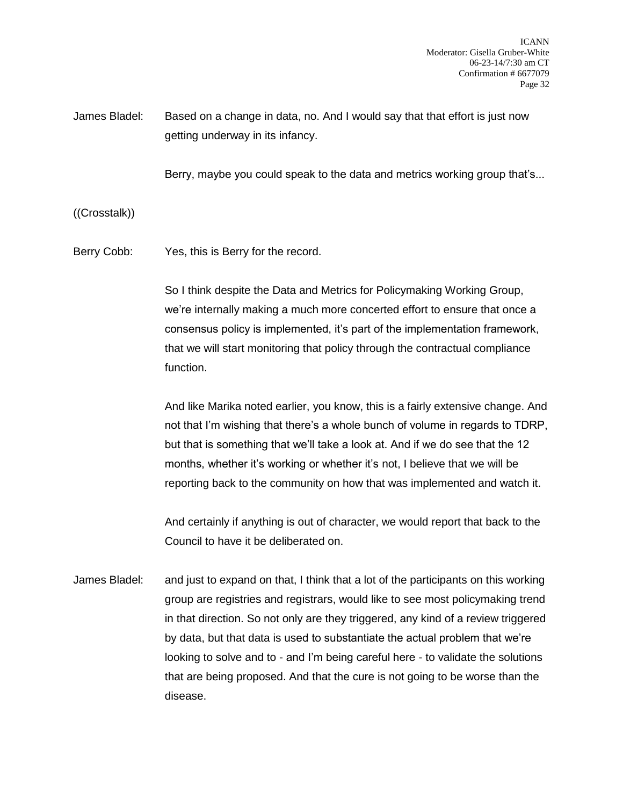James Bladel: Based on a change in data, no. And I would say that that effort is just now getting underway in its infancy.

Berry, maybe you could speak to the data and metrics working group that's...

((Crosstalk))

Berry Cobb: Yes, this is Berry for the record.

So I think despite the Data and Metrics for Policymaking Working Group, we're internally making a much more concerted effort to ensure that once a consensus policy is implemented, it's part of the implementation framework, that we will start monitoring that policy through the contractual compliance function.

And like Marika noted earlier, you know, this is a fairly extensive change. And not that I'm wishing that there's a whole bunch of volume in regards to TDRP, but that is something that we'll take a look at. And if we do see that the 12 months, whether it's working or whether it's not, I believe that we will be reporting back to the community on how that was implemented and watch it.

And certainly if anything is out of character, we would report that back to the Council to have it be deliberated on.

James Bladel: and just to expand on that, I think that a lot of the participants on this working group are registries and registrars, would like to see most policymaking trend in that direction. So not only are they triggered, any kind of a review triggered by data, but that data is used to substantiate the actual problem that we're looking to solve and to - and I'm being careful here - to validate the solutions that are being proposed. And that the cure is not going to be worse than the disease.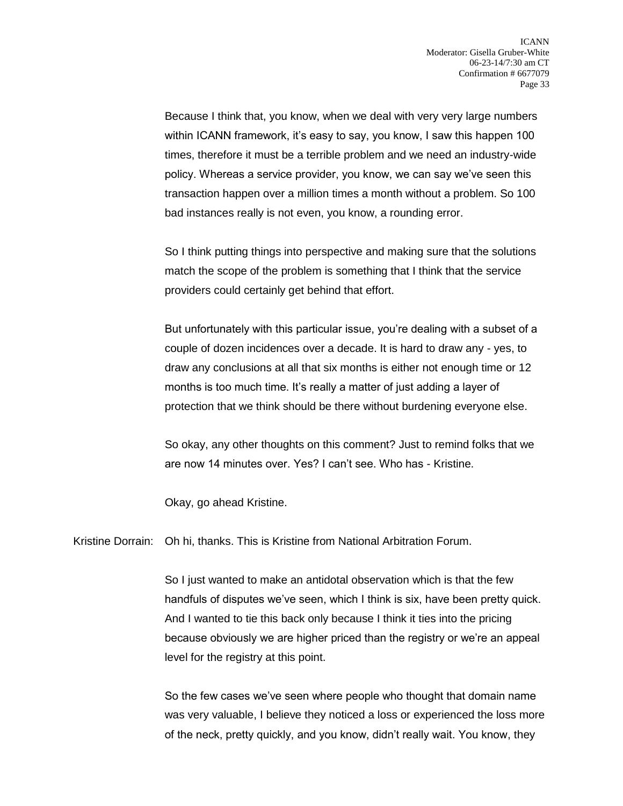Because I think that, you know, when we deal with very very large numbers within ICANN framework, it's easy to say, you know, I saw this happen 100 times, therefore it must be a terrible problem and we need an industry-wide policy. Whereas a service provider, you know, we can say we've seen this transaction happen over a million times a month without a problem. So 100 bad instances really is not even, you know, a rounding error.

So I think putting things into perspective and making sure that the solutions match the scope of the problem is something that I think that the service providers could certainly get behind that effort.

But unfortunately with this particular issue, you're dealing with a subset of a couple of dozen incidences over a decade. It is hard to draw any - yes, to draw any conclusions at all that six months is either not enough time or 12 months is too much time. It's really a matter of just adding a layer of protection that we think should be there without burdening everyone else.

So okay, any other thoughts on this comment? Just to remind folks that we are now 14 minutes over. Yes? I can't see. Who has - Kristine.

Okay, go ahead Kristine.

Kristine Dorrain: Oh hi, thanks. This is Kristine from National Arbitration Forum.

So I just wanted to make an antidotal observation which is that the few handfuls of disputes we've seen, which I think is six, have been pretty quick. And I wanted to tie this back only because I think it ties into the pricing because obviously we are higher priced than the registry or we're an appeal level for the registry at this point.

So the few cases we've seen where people who thought that domain name was very valuable, I believe they noticed a loss or experienced the loss more of the neck, pretty quickly, and you know, didn't really wait. You know, they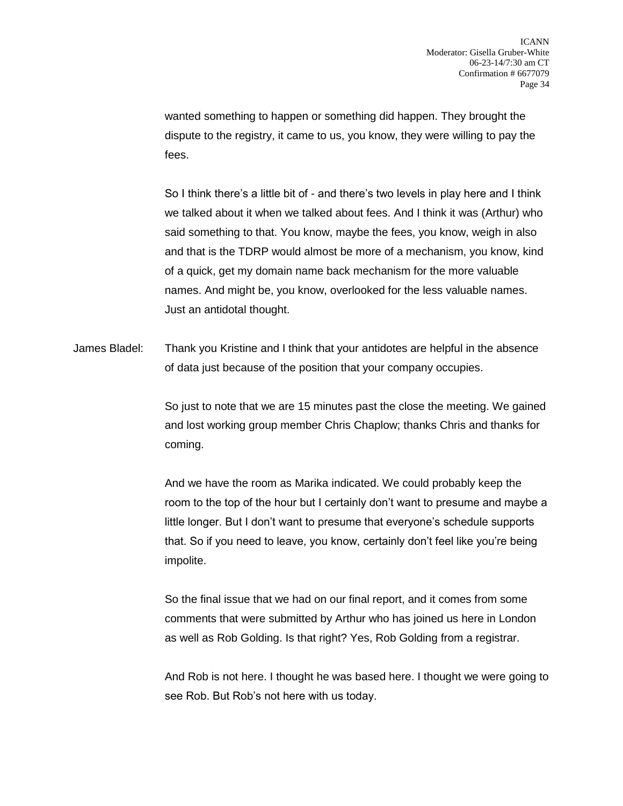wanted something to happen or something did happen. They brought the dispute to the registry, it came to us, you know, they were willing to pay the fees.

So I think there's a little bit of - and there's two levels in play here and I think we talked about it when we talked about fees. And I think it was (Arthur) who said something to that. You know, maybe the fees, you know, weigh in also and that is the TDRP would almost be more of a mechanism, you know, kind of a quick, get my domain name back mechanism for the more valuable names. And might be, you know, overlooked for the less valuable names. Just an antidotal thought.

James Bladel: Thank you Kristine and I think that your antidotes are helpful in the absence of data just because of the position that your company occupies.

> So just to note that we are 15 minutes past the close the meeting. We gained and lost working group member Chris Chaplow; thanks Chris and thanks for coming.

> And we have the room as Marika indicated. We could probably keep the room to the top of the hour but I certainly don't want to presume and maybe a little longer. But I don't want to presume that everyone's schedule supports that. So if you need to leave, you know, certainly don't feel like you're being impolite.

So the final issue that we had on our final report, and it comes from some comments that were submitted by Arthur who has joined us here in London as well as Rob Golding. Is that right? Yes, Rob Golding from a registrar.

And Rob is not here. I thought he was based here. I thought we were going to see Rob. But Rob's not here with us today.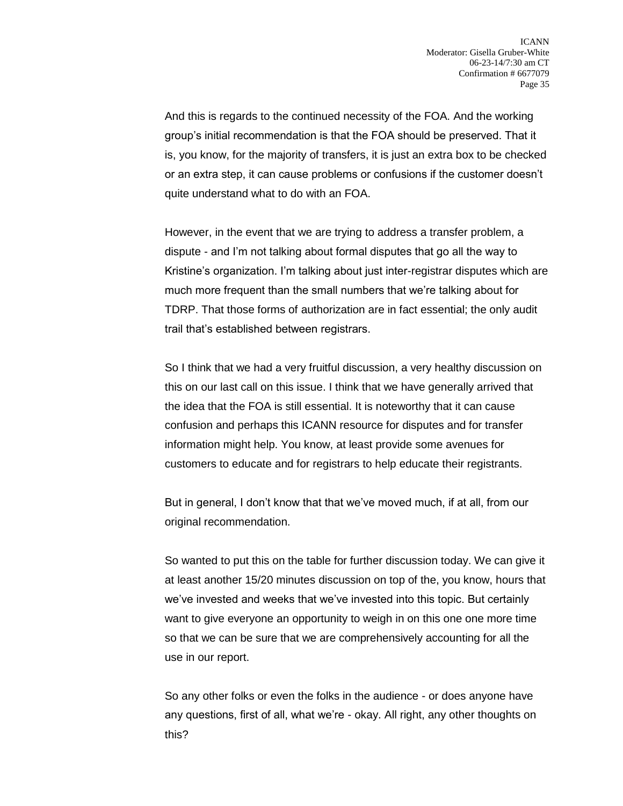And this is regards to the continued necessity of the FOA. And the working group's initial recommendation is that the FOA should be preserved. That it is, you know, for the majority of transfers, it is just an extra box to be checked or an extra step, it can cause problems or confusions if the customer doesn't quite understand what to do with an FOA.

However, in the event that we are trying to address a transfer problem, a dispute - and I'm not talking about formal disputes that go all the way to Kristine's organization. I'm talking about just inter-registrar disputes which are much more frequent than the small numbers that we're talking about for TDRP. That those forms of authorization are in fact essential; the only audit trail that's established between registrars.

So I think that we had a very fruitful discussion, a very healthy discussion on this on our last call on this issue. I think that we have generally arrived that the idea that the FOA is still essential. It is noteworthy that it can cause confusion and perhaps this ICANN resource for disputes and for transfer information might help. You know, at least provide some avenues for customers to educate and for registrars to help educate their registrants.

But in general, I don't know that that we've moved much, if at all, from our original recommendation.

So wanted to put this on the table for further discussion today. We can give it at least another 15/20 minutes discussion on top of the, you know, hours that we've invested and weeks that we've invested into this topic. But certainly want to give everyone an opportunity to weigh in on this one one more time so that we can be sure that we are comprehensively accounting for all the use in our report.

So any other folks or even the folks in the audience - or does anyone have any questions, first of all, what we're - okay. All right, any other thoughts on this?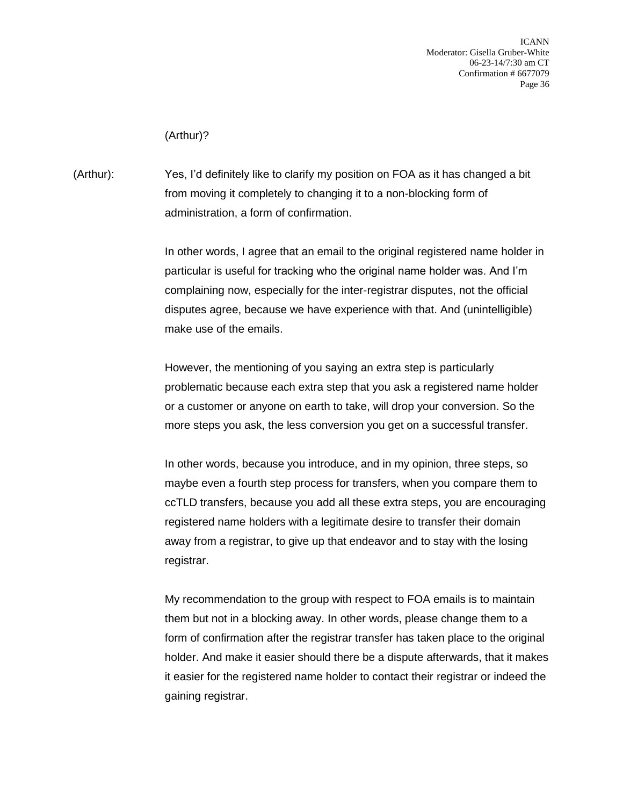ICANN Moderator: Gisella Gruber-White 06-23-14/7:30 am CT Confirmation # 6677079 Page 36

(Arthur)?

(Arthur): Yes, I'd definitely like to clarify my position on FOA as it has changed a bit from moving it completely to changing it to a non-blocking form of administration, a form of confirmation.

> In other words, I agree that an email to the original registered name holder in particular is useful for tracking who the original name holder was. And I'm complaining now, especially for the inter-registrar disputes, not the official disputes agree, because we have experience with that. And (unintelligible) make use of the emails.

However, the mentioning of you saying an extra step is particularly problematic because each extra step that you ask a registered name holder or a customer or anyone on earth to take, will drop your conversion. So the more steps you ask, the less conversion you get on a successful transfer.

In other words, because you introduce, and in my opinion, three steps, so maybe even a fourth step process for transfers, when you compare them to ccTLD transfers, because you add all these extra steps, you are encouraging registered name holders with a legitimate desire to transfer their domain away from a registrar, to give up that endeavor and to stay with the losing registrar.

My recommendation to the group with respect to FOA emails is to maintain them but not in a blocking away. In other words, please change them to a form of confirmation after the registrar transfer has taken place to the original holder. And make it easier should there be a dispute afterwards, that it makes it easier for the registered name holder to contact their registrar or indeed the gaining registrar.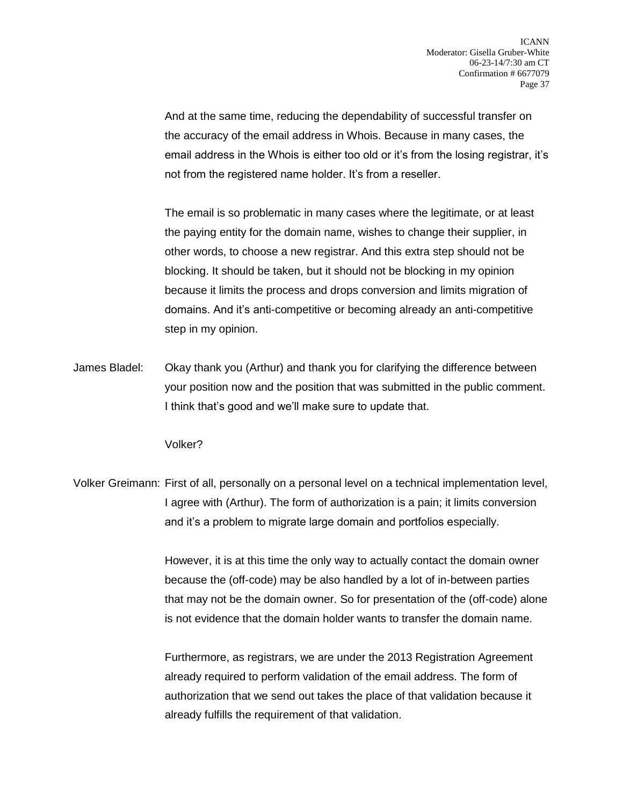And at the same time, reducing the dependability of successful transfer on the accuracy of the email address in Whois. Because in many cases, the email address in the Whois is either too old or it's from the losing registrar, it's not from the registered name holder. It's from a reseller.

The email is so problematic in many cases where the legitimate, or at least the paying entity for the domain name, wishes to change their supplier, in other words, to choose a new registrar. And this extra step should not be blocking. It should be taken, but it should not be blocking in my opinion because it limits the process and drops conversion and limits migration of domains. And it's anti-competitive or becoming already an anti-competitive step in my opinion.

James Bladel: Okay thank you (Arthur) and thank you for clarifying the difference between your position now and the position that was submitted in the public comment. I think that's good and we'll make sure to update that.

Volker?

Volker Greimann: First of all, personally on a personal level on a technical implementation level, I agree with (Arthur). The form of authorization is a pain; it limits conversion and it's a problem to migrate large domain and portfolios especially.

> However, it is at this time the only way to actually contact the domain owner because the (off-code) may be also handled by a lot of in-between parties that may not be the domain owner. So for presentation of the (off-code) alone is not evidence that the domain holder wants to transfer the domain name.

Furthermore, as registrars, we are under the 2013 Registration Agreement already required to perform validation of the email address. The form of authorization that we send out takes the place of that validation because it already fulfills the requirement of that validation.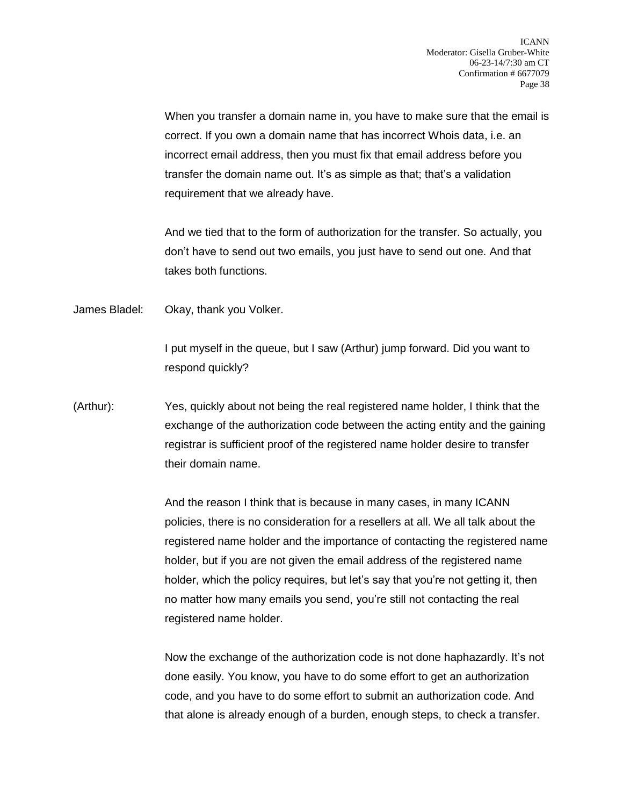When you transfer a domain name in, you have to make sure that the email is correct. If you own a domain name that has incorrect Whois data, i.e. an incorrect email address, then you must fix that email address before you transfer the domain name out. It's as simple as that; that's a validation requirement that we already have.

And we tied that to the form of authorization for the transfer. So actually, you don't have to send out two emails, you just have to send out one. And that takes both functions.

James Bladel: Okay, thank you Volker.

I put myself in the queue, but I saw (Arthur) jump forward. Did you want to respond quickly?

(Arthur): Yes, quickly about not being the real registered name holder, I think that the exchange of the authorization code between the acting entity and the gaining registrar is sufficient proof of the registered name holder desire to transfer their domain name.

> And the reason I think that is because in many cases, in many ICANN policies, there is no consideration for a resellers at all. We all talk about the registered name holder and the importance of contacting the registered name holder, but if you are not given the email address of the registered name holder, which the policy requires, but let's say that you're not getting it, then no matter how many emails you send, you're still not contacting the real registered name holder.

> Now the exchange of the authorization code is not done haphazardly. It's not done easily. You know, you have to do some effort to get an authorization code, and you have to do some effort to submit an authorization code. And that alone is already enough of a burden, enough steps, to check a transfer.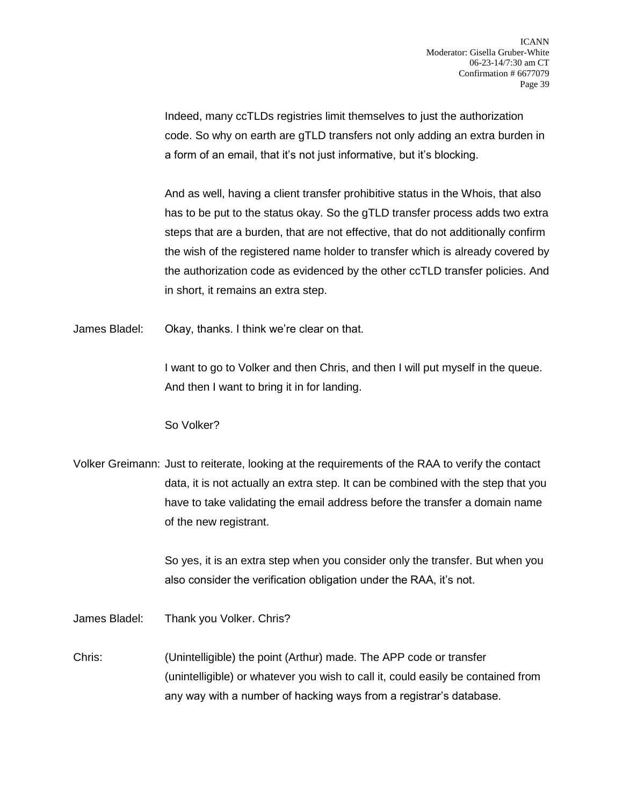Indeed, many ccTLDs registries limit themselves to just the authorization code. So why on earth are gTLD transfers not only adding an extra burden in a form of an email, that it's not just informative, but it's blocking.

And as well, having a client transfer prohibitive status in the Whois, that also has to be put to the status okay. So the gTLD transfer process adds two extra steps that are a burden, that are not effective, that do not additionally confirm the wish of the registered name holder to transfer which is already covered by the authorization code as evidenced by the other ccTLD transfer policies. And in short, it remains an extra step.

James Bladel: Okay, thanks. I think we're clear on that.

I want to go to Volker and then Chris, and then I will put myself in the queue. And then I want to bring it in for landing.

So Volker?

Volker Greimann: Just to reiterate, looking at the requirements of the RAA to verify the contact data, it is not actually an extra step. It can be combined with the step that you have to take validating the email address before the transfer a domain name of the new registrant.

> So yes, it is an extra step when you consider only the transfer. But when you also consider the verification obligation under the RAA, it's not.

James Bladel: Thank you Volker. Chris?

Chris: (Unintelligible) the point (Arthur) made. The APP code or transfer (unintelligible) or whatever you wish to call it, could easily be contained from any way with a number of hacking ways from a registrar's database.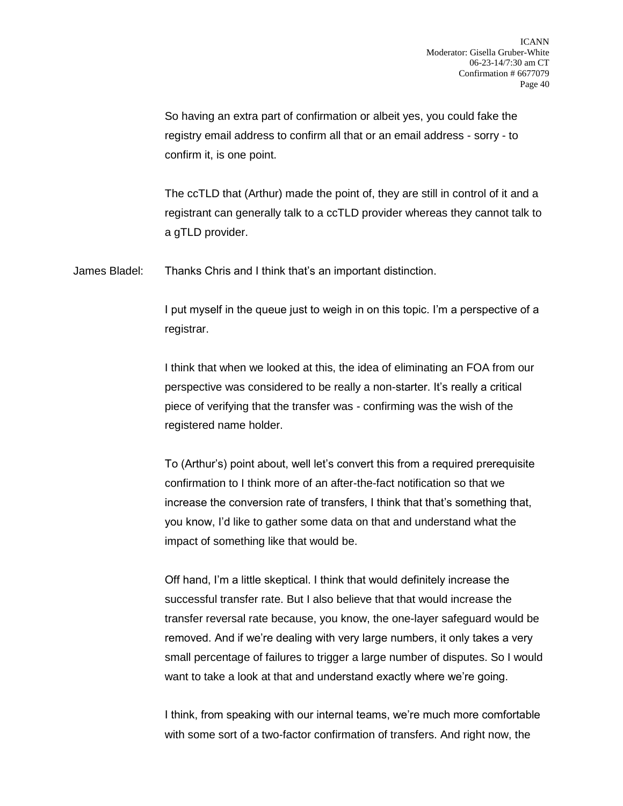So having an extra part of confirmation or albeit yes, you could fake the registry email address to confirm all that or an email address - sorry - to confirm it, is one point.

The ccTLD that (Arthur) made the point of, they are still in control of it and a registrant can generally talk to a ccTLD provider whereas they cannot talk to a gTLD provider.

James Bladel: Thanks Chris and I think that's an important distinction.

I put myself in the queue just to weigh in on this topic. I'm a perspective of a registrar.

I think that when we looked at this, the idea of eliminating an FOA from our perspective was considered to be really a non-starter. It's really a critical piece of verifying that the transfer was - confirming was the wish of the registered name holder.

To (Arthur's) point about, well let's convert this from a required prerequisite confirmation to I think more of an after-the-fact notification so that we increase the conversion rate of transfers, I think that that's something that, you know, I'd like to gather some data on that and understand what the impact of something like that would be.

Off hand, I'm a little skeptical. I think that would definitely increase the successful transfer rate. But I also believe that that would increase the transfer reversal rate because, you know, the one-layer safeguard would be removed. And if we're dealing with very large numbers, it only takes a very small percentage of failures to trigger a large number of disputes. So I would want to take a look at that and understand exactly where we're going.

I think, from speaking with our internal teams, we're much more comfortable with some sort of a two-factor confirmation of transfers. And right now, the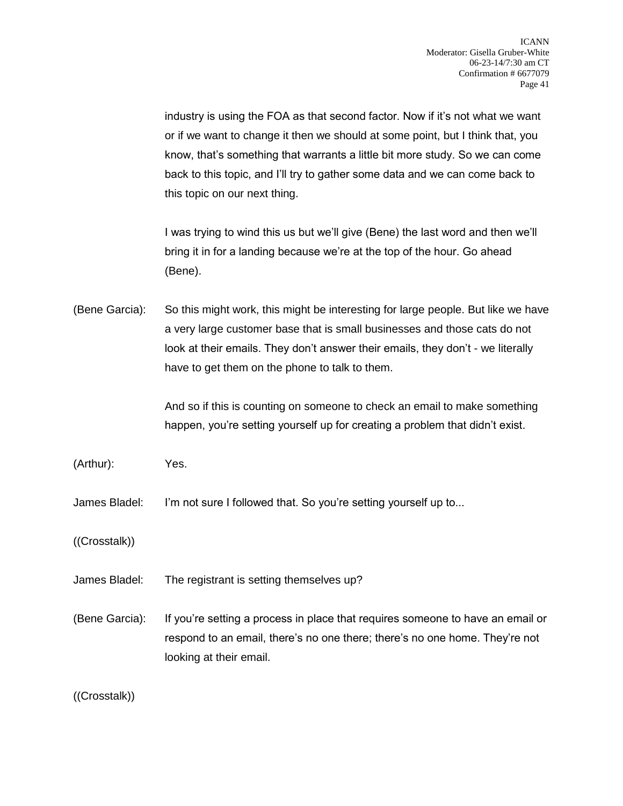industry is using the FOA as that second factor. Now if it's not what we want or if we want to change it then we should at some point, but I think that, you know, that's something that warrants a little bit more study. So we can come back to this topic, and I'll try to gather some data and we can come back to this topic on our next thing.

I was trying to wind this us but we'll give (Bene) the last word and then we'll bring it in for a landing because we're at the top of the hour. Go ahead (Bene).

(Bene Garcia): So this might work, this might be interesting for large people. But like we have a very large customer base that is small businesses and those cats do not look at their emails. They don't answer their emails, they don't - we literally have to get them on the phone to talk to them.

> And so if this is counting on someone to check an email to make something happen, you're setting yourself up for creating a problem that didn't exist.

(Arthur): Yes.

James Bladel: I'm not sure I followed that. So you're setting yourself up to...

((Crosstalk))

- James Bladel: The registrant is setting themselves up?
- (Bene Garcia): If you're setting a process in place that requires someone to have an email or respond to an email, there's no one there; there's no one home. They're not looking at their email.

((Crosstalk))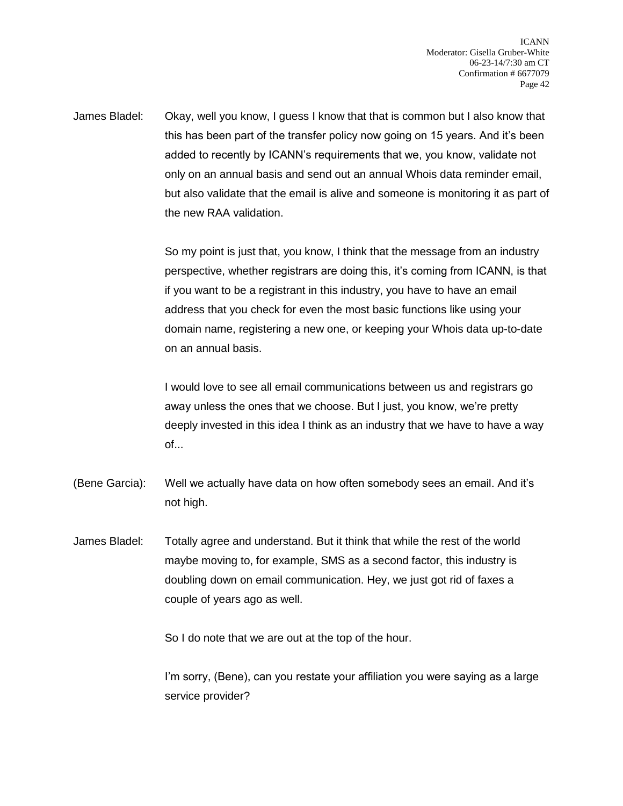James Bladel: Okay, well you know, I guess I know that that is common but I also know that this has been part of the transfer policy now going on 15 years. And it's been added to recently by ICANN's requirements that we, you know, validate not only on an annual basis and send out an annual Whois data reminder email, but also validate that the email is alive and someone is monitoring it as part of the new RAA validation.

> So my point is just that, you know, I think that the message from an industry perspective, whether registrars are doing this, it's coming from ICANN, is that if you want to be a registrant in this industry, you have to have an email address that you check for even the most basic functions like using your domain name, registering a new one, or keeping your Whois data up-to-date on an annual basis.

> I would love to see all email communications between us and registrars go away unless the ones that we choose. But I just, you know, we're pretty deeply invested in this idea I think as an industry that we have to have a way of...

- (Bene Garcia): Well we actually have data on how often somebody sees an email. And it's not high.
- James Bladel: Totally agree and understand. But it think that while the rest of the world maybe moving to, for example, SMS as a second factor, this industry is doubling down on email communication. Hey, we just got rid of faxes a couple of years ago as well.

So I do note that we are out at the top of the hour.

I'm sorry, (Bene), can you restate your affiliation you were saying as a large service provider?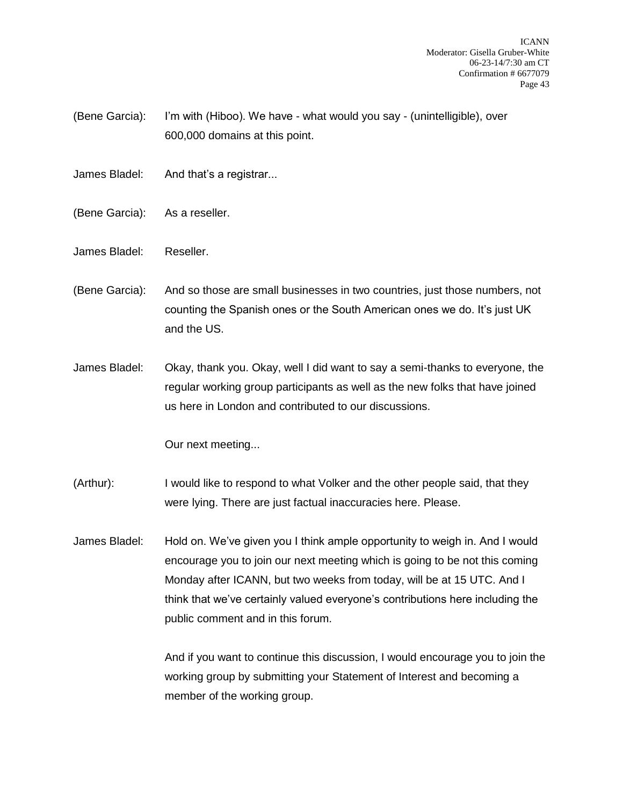- (Bene Garcia): I'm with (Hiboo). We have what would you say (unintelligible), over 600,000 domains at this point.
- James Bladel: And that's a registrar...
- (Bene Garcia): As a reseller.
- James Bladel: Reseller.
- (Bene Garcia): And so those are small businesses in two countries, just those numbers, not counting the Spanish ones or the South American ones we do. It's just UK and the US.
- James Bladel: Okay, thank you. Okay, well I did want to say a semi-thanks to everyone, the regular working group participants as well as the new folks that have joined us here in London and contributed to our discussions.

Our next meeting...

- (Arthur): I would like to respond to what Volker and the other people said, that they were lying. There are just factual inaccuracies here. Please.
- James Bladel: Hold on. We've given you I think ample opportunity to weigh in. And I would encourage you to join our next meeting which is going to be not this coming Monday after ICANN, but two weeks from today, will be at 15 UTC. And I think that we've certainly valued everyone's contributions here including the public comment and in this forum.

And if you want to continue this discussion, I would encourage you to join the working group by submitting your Statement of Interest and becoming a member of the working group.